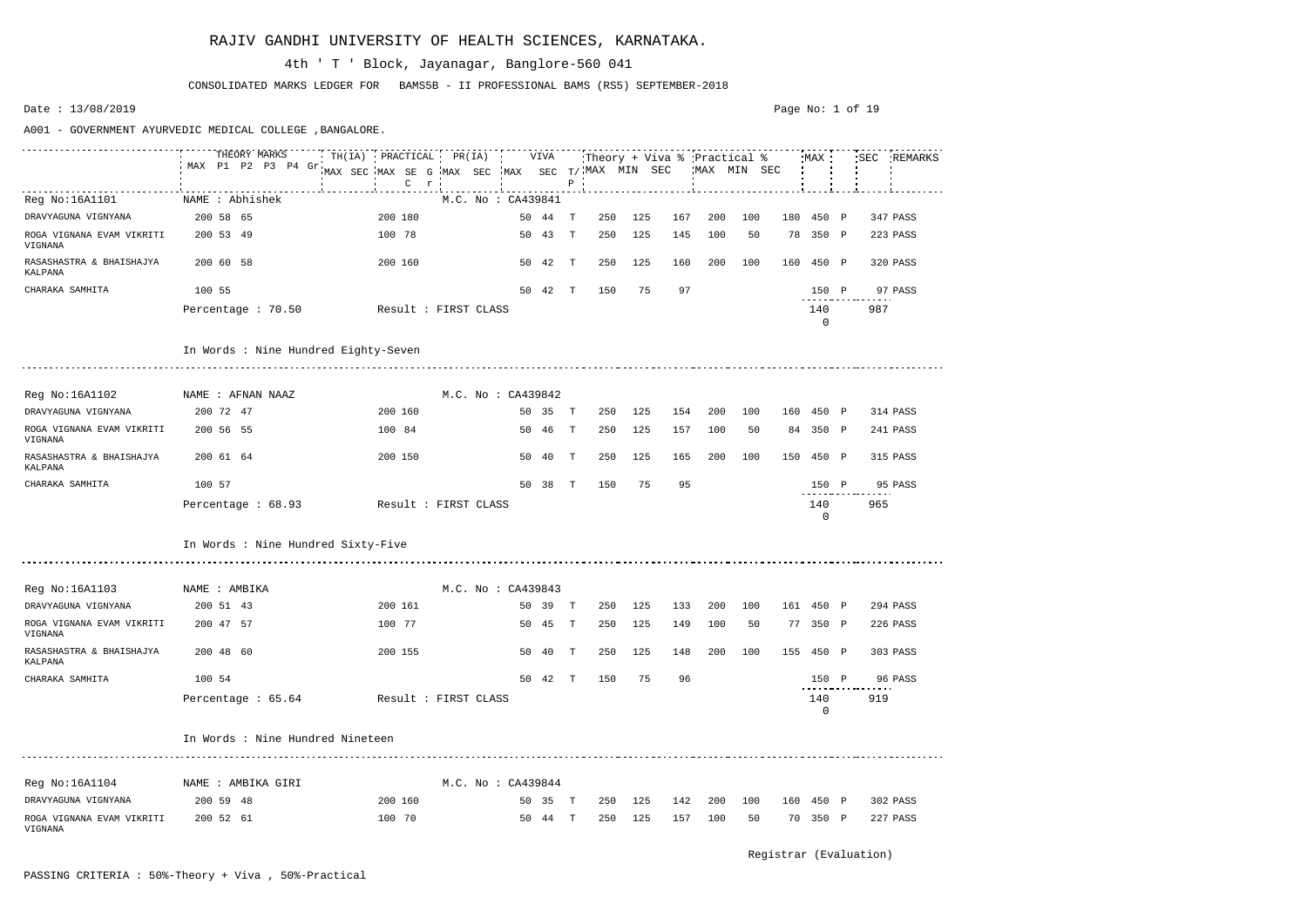|                                      | THEORY MARKS<br>MAX P1 P2 P3 P4 Gr   | TH(IA) PRACTICAL PR(IA) |                    | VIVA    |                           |     |     |     | Theory + Viva % Practical % |     | MAX       |              |     | SEC REMARKS |
|--------------------------------------|--------------------------------------|-------------------------|--------------------|---------|---------------------------|-----|-----|-----|-----------------------------|-----|-----------|--------------|-----|-------------|
|                                      |                                      | MAX SEC MAX SE G        | MAX SEC            |         | $MAX$ SEC $T/MAX$ MIN SEC |     |     |     | MAX MIN SEC                 |     |           |              |     |             |
|                                      |                                      | $\mathsf{C}$<br>r       |                    |         | $\, {\bf P}$              |     |     |     |                             |     |           |              |     |             |
| Reg No:16A1101                       | NAME : Abhishek                      |                         | M.C. No: CA439841  |         |                           |     |     |     |                             |     |           |              |     |             |
| DRAVYAGUNA VIGNYANA                  | 200 58 65                            | 200 180                 | 50                 | -44     | 250<br>T                  | 125 | 167 | 200 | 100                         | 180 | 450 P     |              |     | 347 PASS    |
| ROGA VIGNANA EVAM VIKRITI<br>VIGNANA | 200 53 49                            | 100 78                  | 50 43              |         | 250<br>T                  | 125 | 145 | 100 | 50                          | 78  | 350 P     |              |     | 223 PASS    |
| RASASHASTRA & BHAISHAJYA<br>KALPANA  | 200 60 58                            | 200 160                 | 50 42              |         | T<br>250                  | 125 | 160 | 200 | 100                         | 160 | 450 P     |              |     | 320 PASS    |
| CHARAKA SAMHITA                      | 100 55                               |                         | 50 42              |         | 150<br>$\mathbf{T}$       | 75  | 97  |     |                             |     | 150 P     |              |     | 97 PASS     |
|                                      | Percentage : 70.50                   | Result : FIRST CLASS    |                    |         |                           |     |     |     |                             |     | 140<br>0  |              | 987 |             |
|                                      | In Words : Nine Hundred Eighty-Seven |                         |                    |         |                           |     |     |     |                             |     |           |              |     |             |
| Reg No:16A1102                       | NAME : AFNAN NAAZ                    |                         | M.C. No : CA439842 |         |                           |     |     |     |                             |     |           |              |     |             |
| DRAVYAGUNA VIGNYANA                  | 200 72 47                            | 200 160                 | 50 35              |         | T<br>250                  | 125 | 154 | 200 | 100                         |     | 160 450 P |              |     | 314 PASS    |
| ROGA VIGNANA EVAM VIKRITI<br>VIGNANA | 200 56 55                            | 100 84                  | 50 46              |         | 250<br>$\mathbb{T}$       | 125 | 157 | 100 | 50                          |     | 84 350 P  |              |     | 241 PASS    |
| RASASHASTRA & BHAISHAJYA<br>KALPANA  | 200 61 64                            | 200 150                 | 50                 | 40      | $\mathbb{T}$<br>250       | 125 | 165 | 200 | 100                         | 150 | 450 P     |              |     | 315 PASS    |
| CHARAKA SAMHITA                      | 100 57                               |                         | 50 38              |         | T<br>150                  | 75  | 95  |     |                             |     | 150 P     |              |     | 95 PASS     |
|                                      | Percentage : 68.93                   | Result : FIRST CLASS    |                    |         |                           |     |     |     |                             |     | 140<br>0  |              | 965 |             |
|                                      | In Words : Nine Hundred Sixty-Five   |                         |                    |         |                           |     |     |     |                             |     |           |              |     |             |
|                                      |                                      |                         |                    |         |                           |     |     |     |                             |     |           |              |     |             |
| Reg No:16A1103                       | NAME : AMBIKA                        |                         | M.C. No: CA439843  |         |                           |     |     |     |                             |     |           |              |     |             |
| DRAVYAGUNA VIGNYANA                  | 200 51 43                            | 200 161                 | 50                 | 39      | 250<br>T                  | 125 | 133 | 200 | 100                         | 161 | 450 P     |              |     | 294 PASS    |
| ROGA VIGNANA EVAM VIKRITI<br>VIGNANA | 200 47 57                            | 100 77                  | 50                 | 45      | Т<br>250                  | 125 | 149 | 100 | 50                          | 77  | 350       | $\mathbb{P}$ |     | 226 PASS    |
| RASASHASTRA & BHAISHAJYA<br>KALPANA  | 200 48 60                            | 200 155                 | 50 40 T            |         | 250                       | 125 | 148 | 200 | 100                         |     | 155 450 P |              |     | 303 PASS    |
| CHARAKA SAMHITA                      | 100 54                               |                         | 50 42 T            |         | 150                       | 75  | 96  |     |                             |     | 150 P     |              |     | 96 PASS     |
|                                      | Percentage : 65.64                   | Result : FIRST CLASS    |                    |         |                           |     |     |     |                             |     | 140<br>0  |              | 919 |             |
|                                      | In Words : Nine Hundred Nineteen     |                         |                    |         |                           |     |     |     |                             |     |           |              |     |             |
| Reg No:16A1104                       | NAME : AMBIKA GIRI                   |                         | M.C. No : CA439844 |         |                           |     |     |     |                             |     |           |              |     |             |
| DRAVYAGUNA VIGNYANA                  | 200 59 48                            | 200 160                 | 50 35 T            |         | 250                       | 125 | 142 | 200 | 100                         |     | 160 450 P |              |     | 302 PASS    |
| ROGA VIGNANA EVAM VIKRITI<br>VIGNANA | 200 52 61                            | 100 70                  |                    | 50 44 T | 250                       | 125 | 157 | 100 | 50                          |     | 70 350 P  |              |     | 227 PASS    |

CONSOLIDATED MARKS LEDGER FOR BAMS5B - II PROFESSIONAL BAMS (RS5) SEPTEMBER-2018

# 4th ' T ' Block, Jayanagar, Banglore-560 041

Date : 13/08/2019

A001 - GOVERNMENT AYURVEDIC MEDICAL COLLEGE ,BANGALORE.

#### Page No: 1 of 19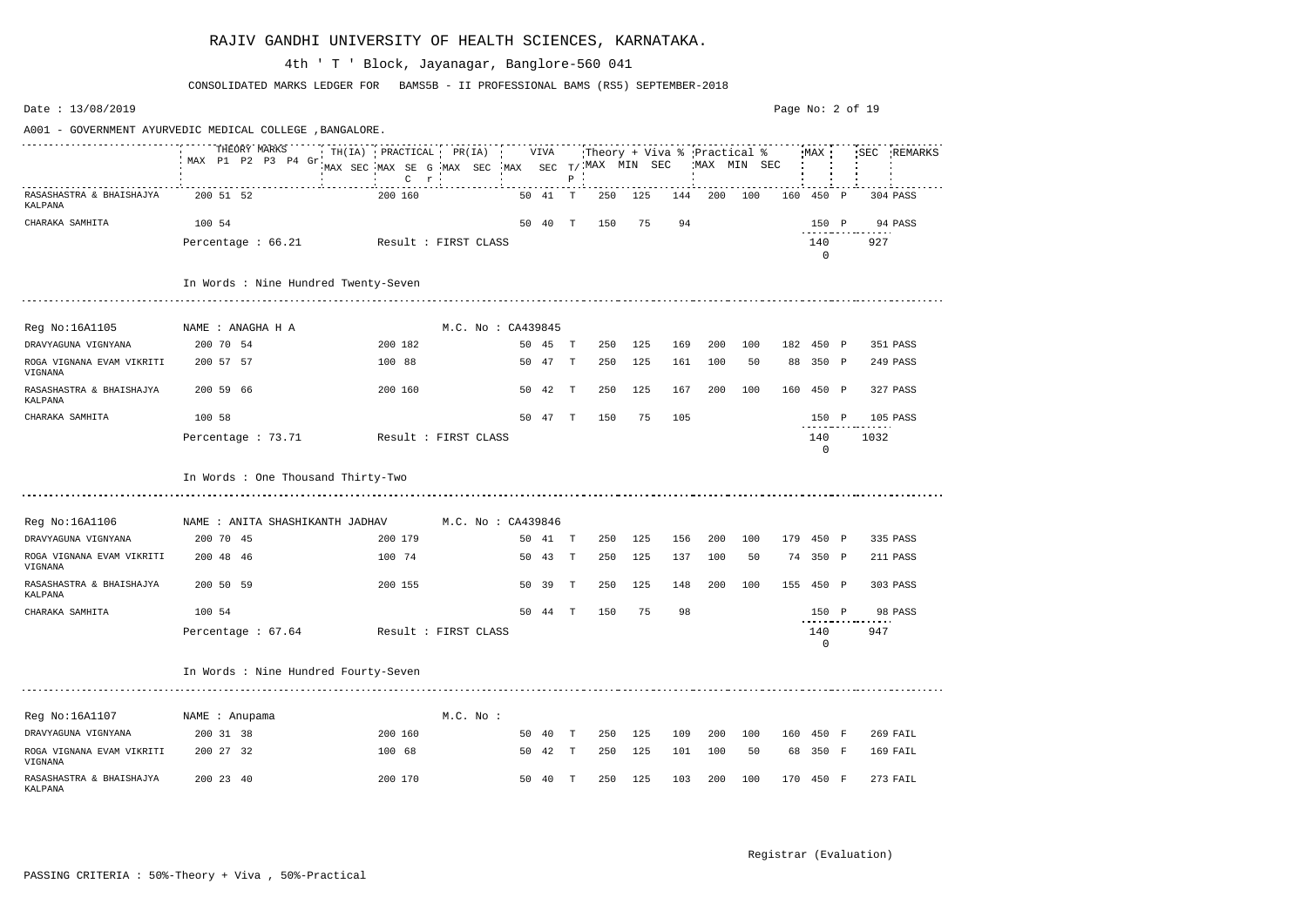Date : 13/08/2019 Page No: 2 of 19A001 - GOVERNMENT AYURVEDIC MEDICAL COLLEGE ,BANGALORE. THEORY MARKS TH(IA) PRACTICAL PR(IA) VIVA Theory + Viva % Practical % MAX SEC REMARKS MAX P1 P2 P3 P4 Gr MAX SEC MAX SE G MAX SEC MAX SEC T/ MAX MIN SEC MAX MIN SEC C P r RASASHASTRA & BHAISHAJYA 200 51 52 200 160 50 41 T 250 125 144 200 100 160 450 P 304 PASS KALPANA CHARAKA SAMHITA 100 54 50 40 T 150 75 94 150 P 94 PASS Percentage : 66.21 Result : FIRST CLASS 140 927 0 In Words : Nine Hundred Twenty-Seven Reg No:16A1105 NAME : ANAGHA H A M.C. No : CA439845 DRAVYAGUNA VIGNYANA 200 70 54 200 182 50 45 T 250 125 169 200 100 182 450 P 351 PASS ROGA VIGNANA EVAM VIKRITI 200 57 57 100 88 50 47 T 250 125 161 100 50 88 350 P 249 PASS VIGNANA RASASHASTRA & BHAISHAJYA 200 59 66 200 160 50 42 T 250 125 167 200 100 160 450 P 327 PASS KALPANA CHARAKA SAMHITA 100 58 50 47 T 150 75 105 150 P 105 PASS Percentage : 73.71 Result : FIRST CLASS 140 1032 0 In Words : One Thousand Thirty-Two Reg No:16A1106 NAME : ANITA SHASHIKANTH JADHAV M.C. No : CA439846 DRAVYAGUNA VIGNYANA 200 70 45 200 179 50 41 T 250 125 156 200 100 179 450 P 335 PASS ROGA VIGNANA EVAM VIKRITI 200 48 46 100 74 50 43 T 250 125 137 100 50 74 350 P 211 PASS VIGNANA RASASHASTRA & BHAISHAJYA 200 50 59 200 155 50 39 T 250 125 148 200 100 155 450 P 303 PASS KALPANA CHARAKA SAMHITA 100 54 50 44 T 150 75 98 150 P 98 PASS Percentage : 67.64 Result : FIRST CLASS 140 947  $\Omega$ In Words : Nine Hundred Fourty-Seven Reg No:16A1107 MAME : Anupama Mame M.C. No : DRAVYAGUNA VIGNYANA 200 31 38 200 160 50 40 T 250 125 109 200 100 160 450 F 269 FAIL ROGA VIGNANA EVAM VIKRITI 200 27 32 100 68 50 42 T 250 125 101 100 50 68 350 F 169 FAIL VIGNANA RASASHASTRA & BHAISHAJYA 200 23 40 200 170 50 40 T 250 125 103 200 100 170 450 F 273 FAIL KALPANA

#### RAJIV GANDHI UNIVERSITY OF HEALTH SCIENCES, KARNATAKA.

CONSOLIDATED MARKS LEDGER FOR BAMS5B - II PROFESSIONAL BAMS (RS5) SEPTEMBER-2018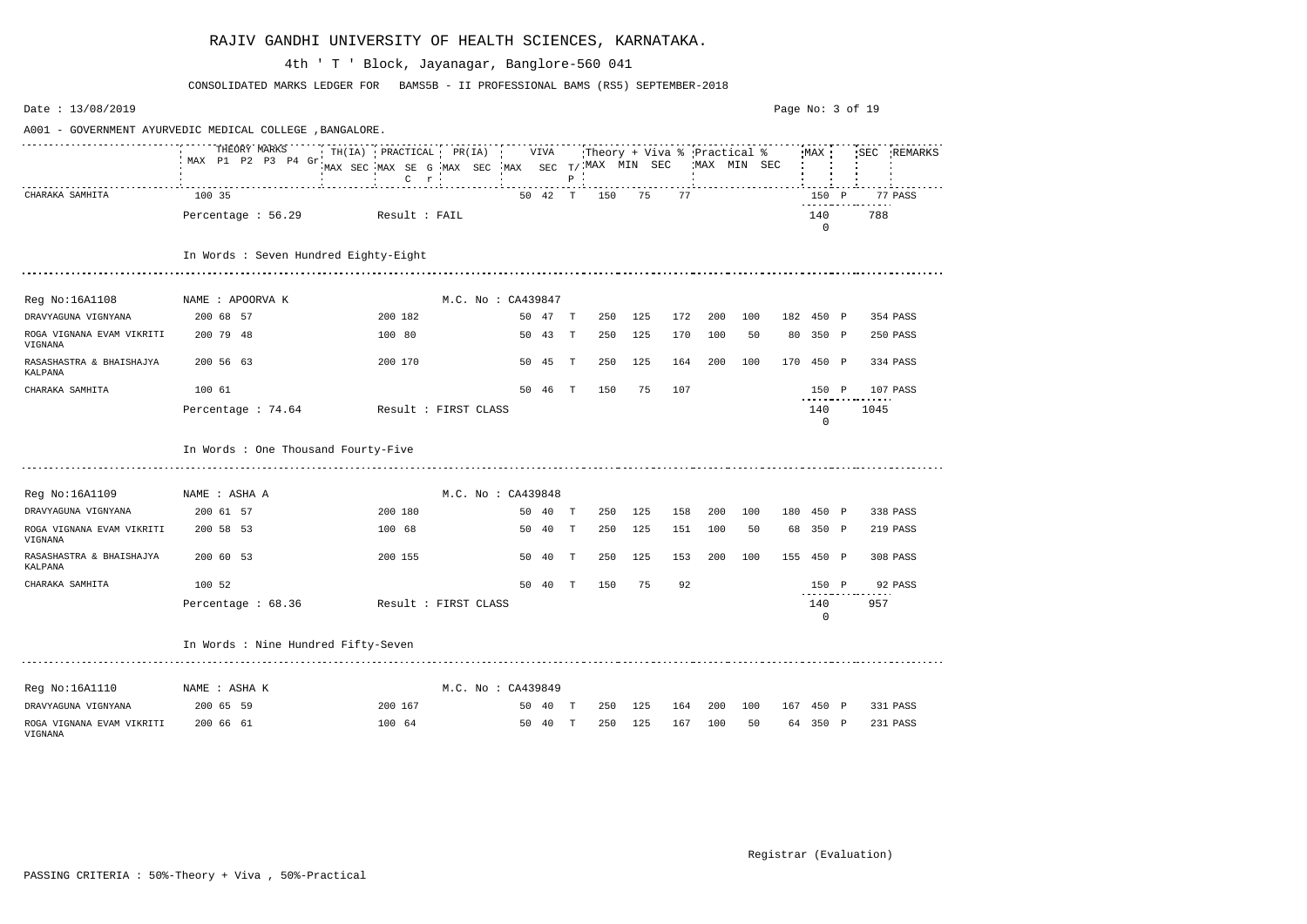| Date: 13/08/2019                                         |                                         |                                                                                       |  |                    |         |              |                             |     |     |             |     | Page No: 3 of 19 |                       |      |             |
|----------------------------------------------------------|-----------------------------------------|---------------------------------------------------------------------------------------|--|--------------------|---------|--------------|-----------------------------|-----|-----|-------------|-----|------------------|-----------------------|------|-------------|
| A001 - GOVERNMENT AYURVEDIC MEDICAL COLLEGE , BANGALORE. |                                         |                                                                                       |  |                    |         |              |                             |     |     |             |     |                  |                       |      |             |
|                                                          | THEORY MARKS<br>MAX P1 P2 P3 P4 Gr      | TH(IA) PRACTICAL PR(IA)<br>MAX SEC MAX SE G MAX SEC MAX SEC T/ MAX MIN SEC<br>$C$ $r$ |  |                    | VIVA    | $P$ $\cdot$  | Theory + Viva % Practical % |     |     | MAX MIN SEC |     |                  | MAX                   |      | SEC REMARKS |
| CHARAKA SAMHITA                                          | 100 35                                  |                                                                                       |  |                    | 50 42 T |              | 150                         | 75  | 77  |             |     |                  | 150 P                 |      | 77 PASS     |
|                                                          | Percentage : 56.29                      | Result : FAIL                                                                         |  |                    |         |              |                             |     |     |             |     |                  | 140<br>$\Omega$       | 788  |             |
|                                                          | In Words : Seven Hundred Eighty-Eight   |                                                                                       |  |                    |         |              |                             |     |     |             |     |                  |                       |      |             |
|                                                          |                                         |                                                                                       |  |                    |         |              |                             |     |     |             |     |                  |                       |      |             |
| Reg No:16A1108 MAME : APOORVA K                          |                                         |                                                                                       |  | M.C. No: CA439847  |         |              |                             |     |     |             |     |                  |                       |      |             |
| DRAVYAGUNA VIGNYANA                                      | 200 68 57                               | 200 182                                                                               |  |                    | 50 47 T |              | 250                         | 125 | 172 | 200         | 100 |                  | 182 450 P             |      | 354 PASS    |
| ROGA VIGNANA EVAM VIKRITI<br>VIGNANA                     | 200 79 48                               | 100 80                                                                                |  |                    | 50 43   | T            | 250                         | 125 | 170 | 100         | 50  |                  | 80 350 P              |      | 250 PASS    |
| RASASHASTRA & BHAISHAJYA<br>KALPANA                      | 200 56 63                               | 200 170                                                                               |  |                    | 50 45   | T            | 250                         | 125 | 164 | 200         | 100 |                  | 170 450 P             |      | 334 PASS    |
| CHARAKA SAMHITA                                          | 100 61                                  |                                                                                       |  |                    | 50 46   | T            | 150                         | 75  | 107 |             |     |                  | 150 P                 |      | 107 PASS    |
|                                                          | Percentage: 74.64                       | Result : FIRST CLASS                                                                  |  |                    |         |              |                             |     |     |             |     |                  | 140<br>$\overline{0}$ | 1045 |             |
|                                                          | In Words : One Thousand Fourty-Five     |                                                                                       |  |                    |         |              |                             |     |     |             |     |                  |                       |      |             |
| Reg No:16A1109 NAME : ASHA A                             |                                         |                                                                                       |  | M.C. No : CA439848 |         |              |                             |     |     |             |     |                  |                       |      |             |
| DRAVYAGUNA VIGNYANA                                      | 200 61 57                               | 200 180                                                                               |  |                    | 50 40 T |              | 250                         | 125 | 158 | 200         | 100 |                  | 180 450 P             |      | 338 PASS    |
| ROGA VIGNANA EVAM VIKRITI<br>VIGNANA                     | 200 58 53                               | 100 68                                                                                |  |                    | 50 40   | $\mathbf{T}$ | 250                         | 125 | 151 | 100         | 50  |                  | 68 350 P              |      | 219 PASS    |
| RASASHASTRA & BHAISHAJYA<br>KALPANA                      | 200 60 53                               | 200 155                                                                               |  |                    | 50 40   | $\mathbb{T}$ | 250                         | 125 | 153 | 200         | 100 |                  | 155 450 P             |      | 308 PASS    |
| CHARAKA SAMHITA                                          | 100 52                                  |                                                                                       |  | 50                 | 40      | $\mathbf T$  | 150                         | 75  | 92  |             |     |                  | 150 P                 |      | 92 PASS     |
|                                                          | Percentage : 68.36 Result : FIRST CLASS |                                                                                       |  |                    |         |              |                             |     |     |             |     |                  | 140<br>$\mathbf 0$    | 957  |             |
|                                                          | In Words : Nine Hundred Fifty-Seven     |                                                                                       |  |                    |         |              |                             |     |     |             |     |                  |                       |      |             |
| Reg No:16A1110                                           | NAME : ASHA K                           |                                                                                       |  | M.C. No : CA439849 |         |              |                             |     |     |             |     |                  |                       |      |             |
| DRAVYAGUNA VIGNYANA                                      | 200 65 59                               | 200 167                                                                               |  |                    | 50 40 T |              | 250                         | 125 |     | 164 200 100 |     |                  | 167 450 P             |      | 331 PASS    |
| ROGA VIGNANA EVAM VIKRITI<br>VIGNANA                     | 200 66 61                               | 100 64                                                                                |  |                    | 50 40 T |              | 250                         | 125 | 167 | 100         | 50  |                  | 64 350 P              |      | 231 PASS    |

CONSOLIDATED MARKS LEDGER FOR BAMS5B - II PROFESSIONAL BAMS (RS5) SEPTEMBER-2018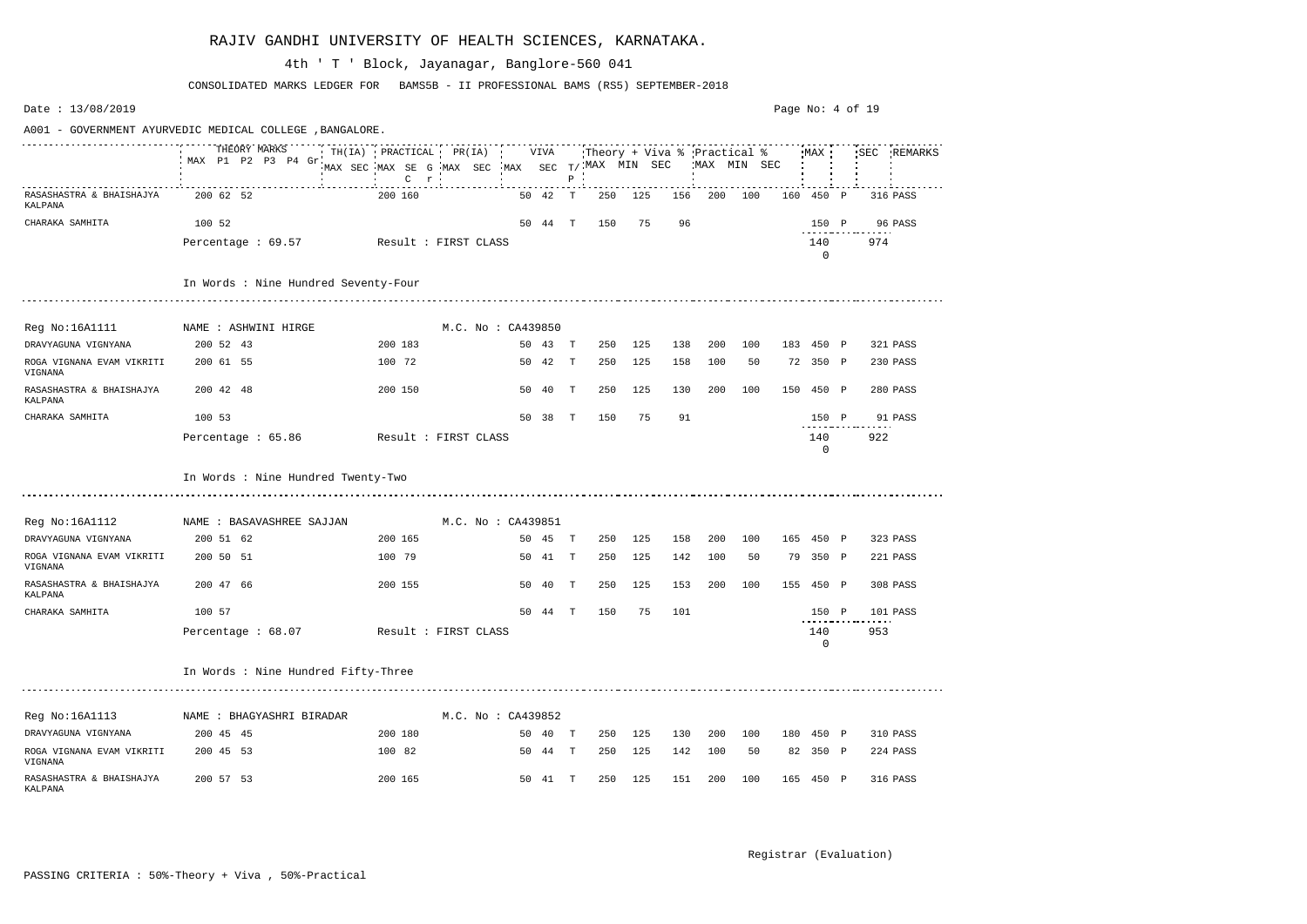Date : 13/08/2019 Page No: 4 of 19A001 - GOVERNMENT AYURVEDIC MEDICAL COLLEGE ,BANGALORE. THEORY MARKS TH(IA) PRACTICAL PR(IA) VIVA Theory + Viva % Practical % MAX SEC REMARKS MAX P1 P2 P3 P4 Gr MAX SEC MAX SE G MAX SEC MAX SEC T/ MAX MIN SEC MAX MIN SEC C P r RASASHASTRA & BHAISHAJYA 200 62 52 200 160 50 42 T 250 125 156 200 100 160 450 P 316 PASS KALPANA CHARAKA SAMHITA 100 52 50 44 T 150 75 96 150 P 96 PASS Percentage : 69.57 Result : FIRST CLASS 140 974 0 In Words : Nine Hundred Seventy-Four Reg No:16A1111 MAME : ASHWINI HIRGE M.C. No : CA439850 DRAVYAGUNA VIGNYANA 200 52 43 200 183 50 43 T 250 125 138 200 100 183 450 P 321 PASS ROGA VIGNANA EVAM VIKRITI 200 61 55 100 72 50 42 T 250 125 158 100 50 72 350 P 230 PASS VIGNANA RASASHASTRA & BHAISHAJYA 200 42 48 200 150 50 40 T 250 125 130 200 100 150 450 P 280 PASS KALPANA CHARAKA SAMHITA 100 53 50 38 T 150 75 91 150 P 91 PASS Percentage : 65.86 Result : FIRST CLASS 140 922 0 In Words : Nine Hundred Twenty-Two Reg No:16A1112 MAME : BASAVASHREE SAJJAN M.C. No : CA439851 DRAVYAGUNA VIGNYANA 200 51 62 200 165 50 45 T 250 125 158 200 100 165 450 P 323 PASS ROGA VIGNANA EVAM VIKRITI 200 50 51 100 79 50 41 T 250 125 142 100 50 79 350 P 221 PASS VIGNANA RASASHASTRA & BHAISHAJYA 200 47 66 200 155 50 40 T 250 125 153 200 100 155 450 P 308 PASS KALPANA CHARAKA SAMHITA 100 57 50 44 T 150 75 101 150 P 101 PASS Percentage : 68.07 Result : FIRST CLASS 140 953  $\Omega$ In Words : Nine Hundred Fifty-Three Reg No:16A1113 MAME : BHAGYASHRI BIRADAR M.C. No : CA439852 DRAVYAGUNA VIGNYANA 200 45 45 200 180 50 40 T 250 125 130 200 100 180 450 P 310 PASS ROGA VIGNANA EVAM VIKRITI 200 45 53 100 82 50 44 T 250 125 142 100 50 82 350 P 224 PASS VIGNANA RASASHASTRA & BHAISHAJYA 200 57 53 200 165 50 41 T 250 125 151 200 100 165 450 P 316 PASS KALPANA

#### RAJIV GANDHI UNIVERSITY OF HEALTH SCIENCES, KARNATAKA.

CONSOLIDATED MARKS LEDGER FOR BAMS5B - II PROFESSIONAL BAMS (RS5) SEPTEMBER-2018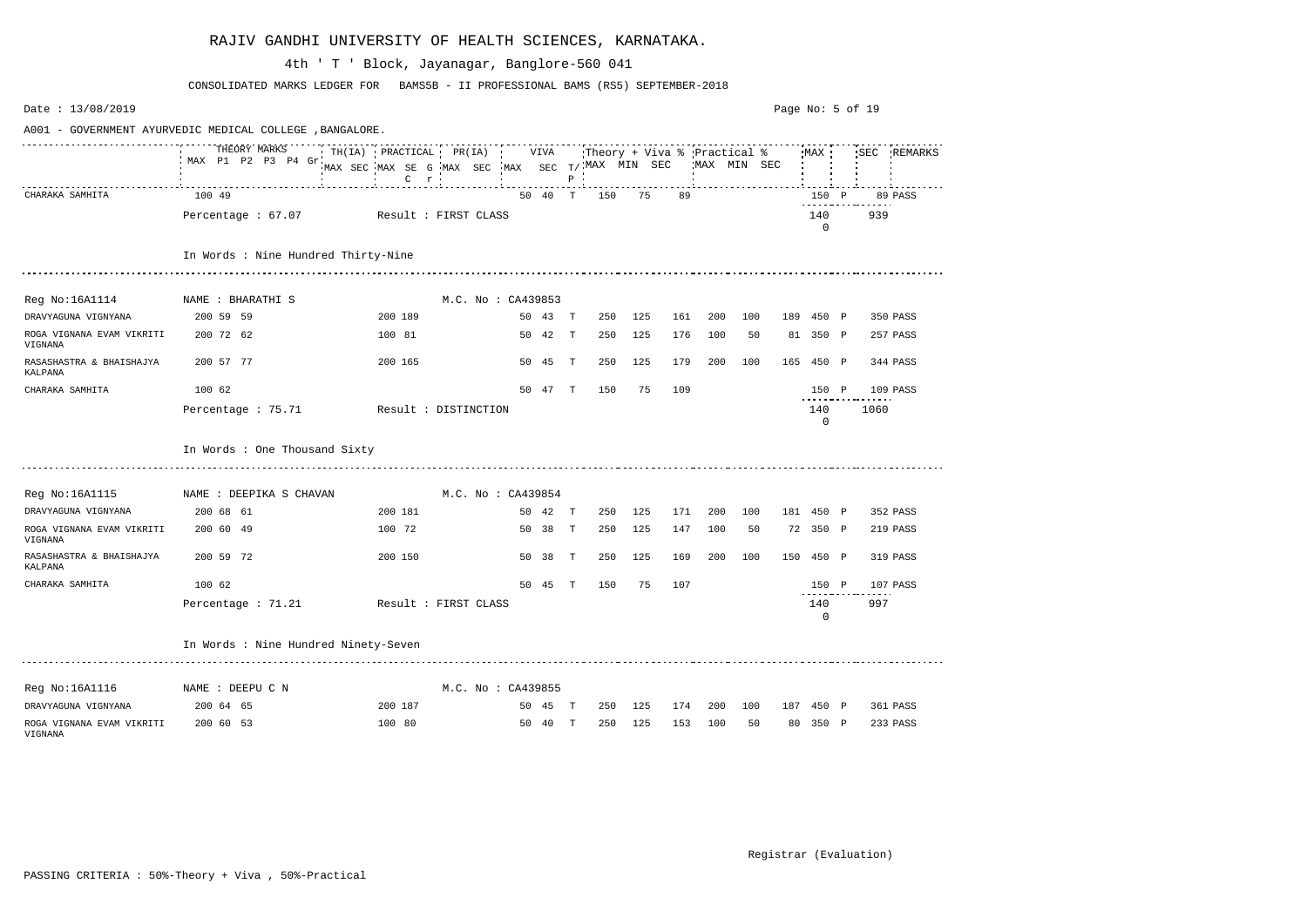| Date: 13/08/2019                           |                                                          |                                                                                                  |                    |         |              |     |                                                           |     |             |     | Page No: 5 of 19 |                    |      |             |
|--------------------------------------------|----------------------------------------------------------|--------------------------------------------------------------------------------------------------|--------------------|---------|--------------|-----|-----------------------------------------------------------|-----|-------------|-----|------------------|--------------------|------|-------------|
|                                            | A001 - GOVERNMENT AYURVEDIC MEDICAL COLLEGE , BANGALORE. |                                                                                                  |                    |         |              |     |                                                           |     |             |     |                  |                    |      |             |
|                                            | THEORY MARKS<br>MAX P1 P2 P3 P4 Gr                       | $\mathsf{TH}(\mathsf{IA})$ PRACTICAL PR(IA)<br>MAX SEC MAX SE G MAX SEC<br>$C$ $r$<br><b>COL</b> |                    | VIVA    | $P$ $\cdot$  |     | Theory + Viva % Practical %<br>$MAX$ SEC $T/$ MAX MIN SEC |     | MAX MIN SEC |     |                  | MAX                |      | SEC REMARKS |
| CHARAKA SAMHITA                            | 100 49                                                   |                                                                                                  |                    | 50 40 T |              | 150 | 75                                                        | 89  |             |     |                  | 150 P              |      | 89 PASS     |
|                                            | Percentage : 67.07                                       | Result : FIRST CLASS                                                                             |                    |         |              |     |                                                           |     |             |     |                  | 140<br>$\Omega$    | 939  |             |
|                                            | In Words : Nine Hundred Thirty-Nine                      |                                                                                                  |                    |         |              |     |                                                           |     |             |     |                  |                    |      |             |
| Reg No:16A1114                             | NAME : BHARATHI S                                        |                                                                                                  | M.C. No : CA439853 |         |              |     |                                                           |     |             |     |                  |                    |      |             |
| DRAVYAGUNA VIGNYANA                        | 200 59 59                                                | 200 189                                                                                          |                    | 50 43 T |              | 250 | 125                                                       | 161 | 200         | 100 |                  | 189 450 P          |      | 350 PASS    |
| ROGA VIGNANA EVAM VIKRITI<br>VIGNANA       | 200 72 62                                                | 100 81                                                                                           |                    | 50 42 T |              | 250 | 125                                                       | 176 | 100         | 50  |                  | 81 350 P           |      | 257 PASS    |
| RASASHASTRA & BHAISHAJYA<br><b>KALPANA</b> | 200 57 77                                                | 200 165                                                                                          |                    | 50 45   | $\mathbf{T}$ | 250 | 125                                                       | 179 | 200         | 100 |                  | 165 450 P          |      | 344 PASS    |
| CHARAKA SAMHITA                            | 100 62                                                   |                                                                                                  |                    | 50 47 T |              | 150 | 75                                                        | 109 |             |     |                  | 150 P              |      | 109 PASS    |
|                                            | Percentage : 75.71                                       | Result : DISTINCTION                                                                             |                    |         |              |     |                                                           |     |             |     |                  | 140<br>$\mathbf 0$ | 1060 |             |
|                                            | In Words : One Thousand Sixty                            |                                                                                                  |                    |         |              |     |                                                           |     |             |     |                  |                    |      |             |
|                                            | Reg No:16A1115 NAME : DEEPIKA S CHAVAN                   |                                                                                                  | M.C. No : CA439854 |         |              |     |                                                           |     |             |     |                  |                    |      |             |
| DRAVYAGUNA VIGNYANA                        | 200 68 61                                                | 200 181                                                                                          |                    | 50 42 T |              | 250 | 125                                                       | 171 | 200         | 100 |                  | 181 450 P          |      | 352 PASS    |
| ROGA VIGNANA EVAM VIKRITI<br>VIGNANA       | 200 60 49                                                | 100 72                                                                                           |                    | 50 38 T |              | 250 | 125                                                       | 147 | 100         | 50  |                  | 72 350 P           |      | 219 PASS    |
| RASASHASTRA & BHAISHAJYA<br>KALPANA        | 200 59 72                                                | 200 150                                                                                          |                    | 50 38   | $\mathbf{T}$ | 250 | 125                                                       | 169 | 200         | 100 |                  | 150 450 P          |      | 319 PASS    |
| CHARAKA SAMHITA                            | 100 62                                                   |                                                                                                  |                    | 50 45   | Т            | 150 | 75                                                        | 107 |             |     |                  | 150 P              |      | 107 PASS    |
|                                            | Percentage : 71.21                                       | Result : FIRST CLASS                                                                             |                    |         |              |     |                                                           |     |             |     |                  | 140<br>0           | 997  |             |
|                                            | In Words : Nine Hundred Ninety-Seven                     |                                                                                                  |                    |         |              |     |                                                           |     |             |     |                  |                    |      |             |
| Reg No:16A1116 MAME : DEEPU C N            |                                                          |                                                                                                  | M.C. No : CA439855 |         |              |     |                                                           |     |             |     |                  |                    |      |             |
| DRAVYAGUNA VIGNYANA                        | 200 64 65                                                | 200 187                                                                                          |                    | 50 45 T |              |     | 250 125                                                   |     | 174 200 100 |     |                  | 187 450 P          |      | 361 PASS    |
| ROGA VIGNANA EVAM VIKRITI<br>VIGNANA       | 200 60 53                                                | 100 80                                                                                           |                    | 50 40 T |              | 250 | 125                                                       | 153 | 100         | 50  |                  | 80 350 P           |      | 233 PASS    |

CONSOLIDATED MARKS LEDGER FOR BAMS5B - II PROFESSIONAL BAMS (RS5) SEPTEMBER-2018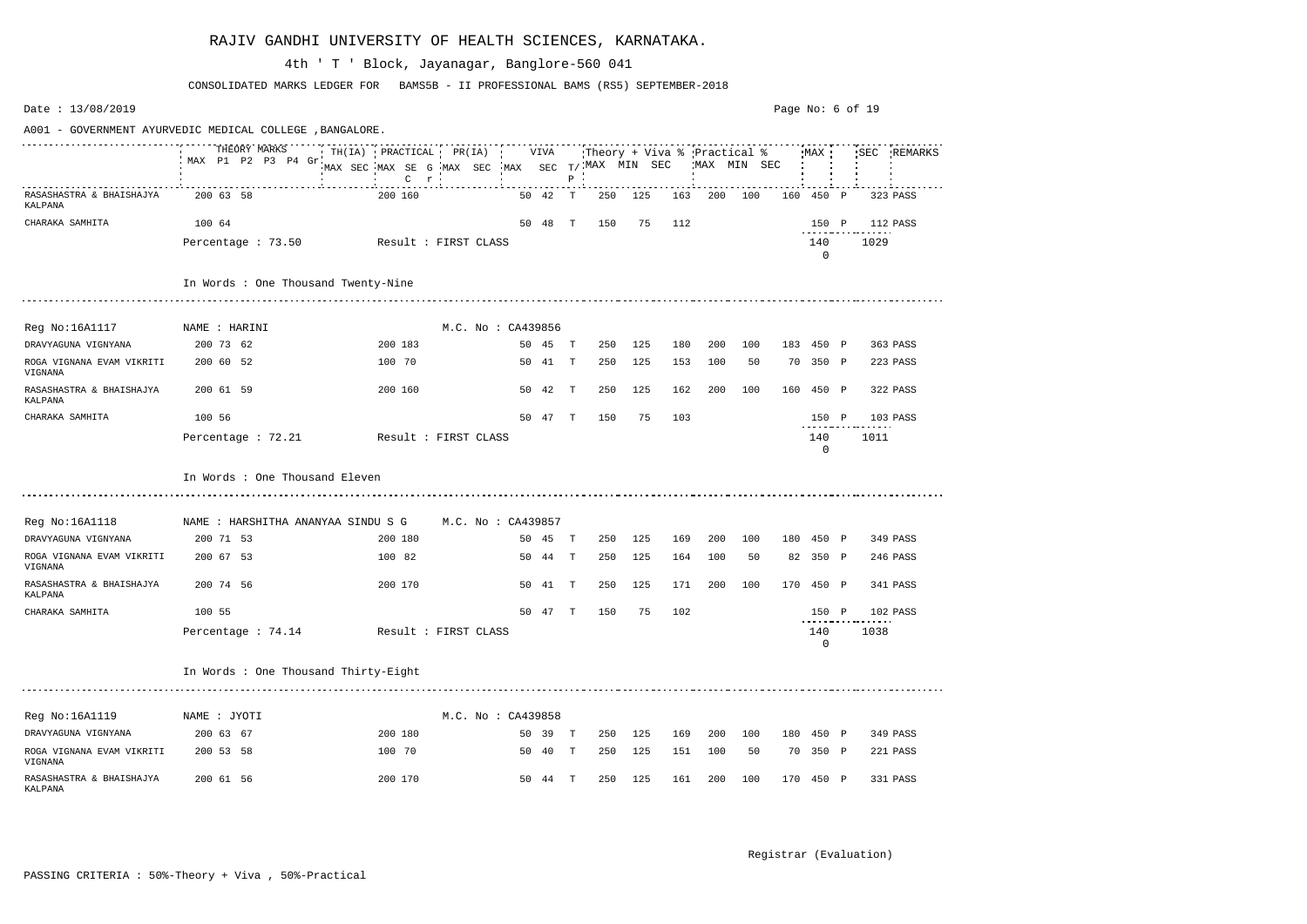Date : 13/08/2019 Page No: 6 of 19A001 - GOVERNMENT AYURVEDIC MEDICAL COLLEGE ,BANGALORE. THEORY MARKS TH(IA) PRACTICAL PR(IA) VIVA Theory + Viva % Practical % MAX SEC REMARKS MAX P1 P2 P3 P4 Gr MAX SEC MAX SE G MAX SEC MAX SEC T/ MAX MIN SEC MAX MIN SEC  $\frac{1}{2}$  . The contribution of the contribution of the contribution of the contribution of the contribution of P r RASASHASTRA & BHAISHAJYA 200 63 58 200 160 50 42 T 250 125 163 200 100 160 450 P 323 PASS KALPANA CHARAKA SAMHITA 100 64 100 64 50 48 T 150 75 112 Percentage : 73.50 Result : FIRST CLASS 140 1029 0 In Words : One Thousand Twenty-Nine Reg No:16A1117 MAME : HARINI M.C. No : CA439856 DRAVYAGUNA VIGNYANA 200 73 62 200 183 50 45 T 250 125 180 200 100 183 450 P 363 PASS ROGA VIGNANA EVAM VIKRITI 200 60 52 100 70 50 41 T 250 125 153 100 50 70 350 P 223 PASS VIGNANA RASASHASTRA & BHAISHAJYA 200 61 59 200 160 50 42 T 250 125 162 200 100 160 450 P 322 PASS KALPANA CHARAKA SAMHITA 100 56 50 47 T 150 75 103 150 P 103 PASS Percentage : 72.21 Result : FIRST CLASS 140 1011 0 In Words : One Thousand Eleven Reg No:16A1118 NAME : HARSHITHA ANANYAA SINDU S G M.C. No : CA439857 DRAVYAGUNA VIGNYANA 200 71 53 200 180 50 45 T 250 125 169 200 100 180 450 P 349 PASS ROGA VIGNANA EVAM VIKRITI 200 67 53 100 82 50 44 T 250 125 164 100 50 82 350 P 246 PASS VIGNANA RASASHASTRA & BHAISHAJYA 200 74 56 200 170 50 41 T 250 125 171 200 100 170 450 P 341 PASS KALPANA CHARAKA SAMHITA 100 55 50 47 T 150 75 102 150 P 102 PASS Percentage : 74.14 Result : FIRST CLASS 140 1038  $\Omega$ In Words : One Thousand Thirty-Eight Reg No:16A1119 MAME : JYOTI MARE : M.C. No : CA439858 DRAVYAGUNA VIGNYANA 200 63 67 200 180 50 39 T 250 125 169 200 100 180 450 P 349 PASS ROGA VIGNANA EVAM VIKRITI 200 53 58 100 70 50 40 T 250 125 151 100 50 70 350 P 221 PASS VIGNANA RASASHASTRA & BHAISHAJYA 200 61 56 200 170 50 44 T 250 125 161 200 100 170 450 P 331 PASS KALPANA

#### RAJIV GANDHI UNIVERSITY OF HEALTH SCIENCES, KARNATAKA.

CONSOLIDATED MARKS LEDGER FOR BAMS5B - II PROFESSIONAL BAMS (RS5) SEPTEMBER-2018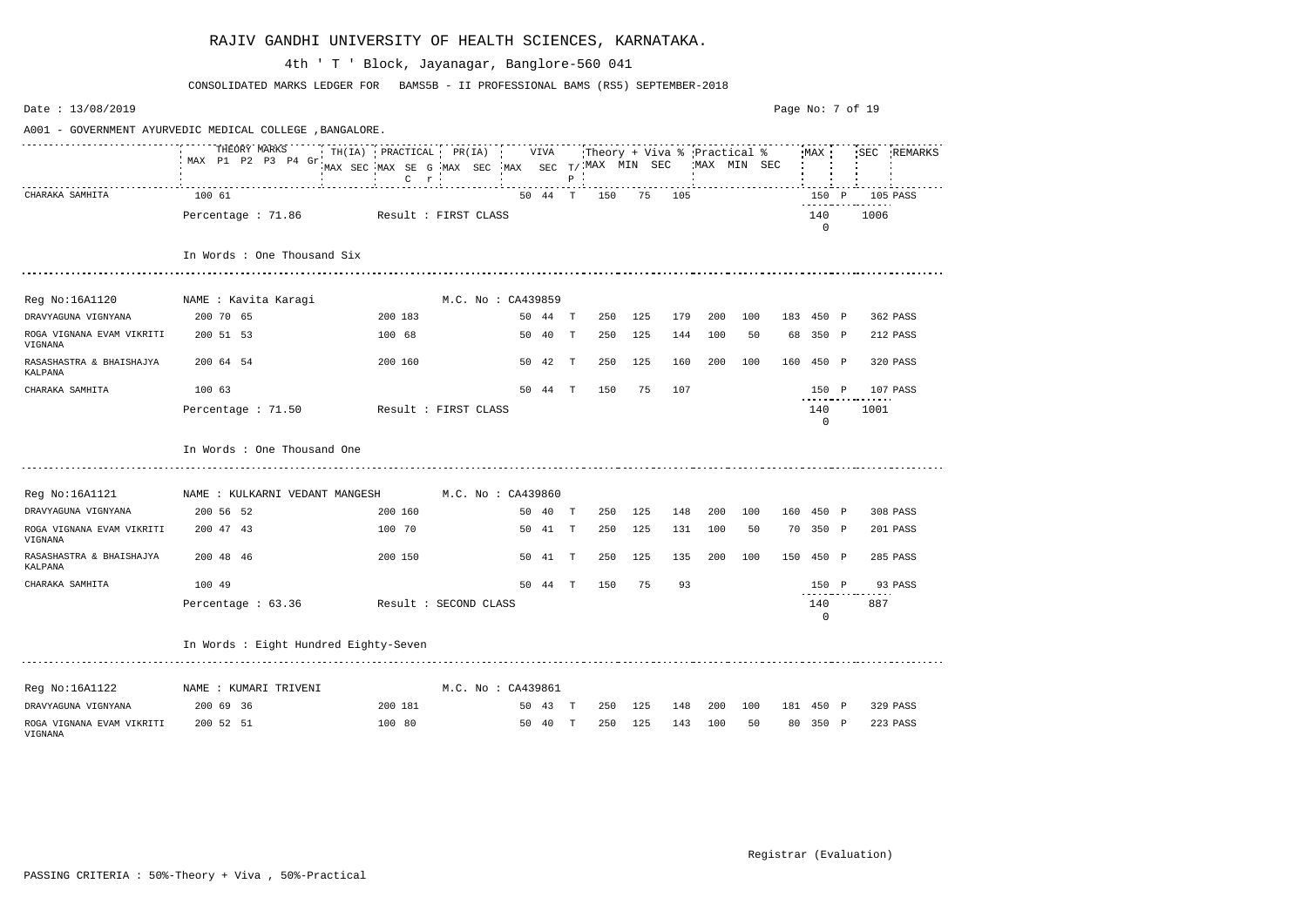| Date: 13/08/2019                     |                                                          |                                                                                            |                    |         |             |     |                                                            |     |         |              |     | Page No: 7 of 19 |      |             |
|--------------------------------------|----------------------------------------------------------|--------------------------------------------------------------------------------------------|--------------------|---------|-------------|-----|------------------------------------------------------------|-----|---------|--------------|-----|------------------|------|-------------|
|                                      | A001 - GOVERNMENT AYURVEDIC MEDICAL COLLEGE , BANGALORE. |                                                                                            |                    |         |             |     |                                                            |     |         |              |     |                  |      |             |
|                                      | THEORY MARKS<br>MAX P1 P2 P3 P4 Gr                       | $TH(IA)$ PRACTICAL PR(IA)<br>MAX SEC MAX SE G MAX SEC<br>$C$ $r$ $\cdot$<br><b>COLLECT</b> |                    | VIVA    | $P$ $\cdot$ |     | :Theory + Viva % Practical %<br>$MAX$ SEC $T/$ MAX MIN SEC |     |         | 'MAX MIN SEC |     | MAX              |      | SEC REMARKS |
| CHARAKA SAMHITA                      | 100 61                                                   |                                                                                            |                    | 50 44 T |             | 150 | 75                                                         | 105 |         |              |     | 150 P            |      | 105 PASS    |
|                                      | Percentage : 71.86                                       | Result : FIRST CLASS                                                                       |                    |         |             |     |                                                            |     |         |              |     | 140<br>$\Omega$  | 1006 |             |
|                                      | In Words : One Thousand Six                              |                                                                                            |                    |         |             |     |                                                            |     |         |              |     |                  |      |             |
| Reg No:16A1120 NAME : Kavita Karagi  |                                                          |                                                                                            | M.C. No : CA439859 |         |             |     |                                                            |     |         |              |     |                  |      |             |
| DRAVYAGUNA VIGNYANA                  | 200 70 65                                                | 200 183                                                                                    |                    | 50 44 T |             | 250 | 125                                                        | 179 | 200     | 100          |     | 183 450 P        |      | 362 PASS    |
| ROGA VIGNANA EVAM VIKRITI<br>VIGNANA | 200 51 53                                                | 100 68                                                                                     |                    | 50 40   | T           | 250 | 125                                                        | 144 | 100     | 50           |     | 68 350 P         |      | 212 PASS    |
| RASASHASTRA & BHAISHAJYA<br>KALPANA  | 200 64 54                                                | 200 160                                                                                    |                    | 50 42   | T           | 250 | 125                                                        | 160 | 200     | 100          | 160 | 450 P            |      | 320 PASS    |
| CHARAKA SAMHITA                      | 100 63                                                   |                                                                                            |                    | 50 44 T |             | 150 | 75                                                         | 107 |         |              |     | 150 P            |      | 107 PASS    |
|                                      | Percentage $: 71.50$                                     | Result : FIRST CLASS                                                                       |                    |         |             |     |                                                            |     |         |              |     | 140<br>0         | 1001 |             |
|                                      | In Words : One Thousand One                              |                                                                                            |                    |         |             |     |                                                            |     |         |              |     |                  |      |             |
| Reg No:16A1121                       | NAME : KULKARNI VEDANT MANGESH                           |                                                                                            | M.C. No : CA439860 |         |             |     |                                                            |     |         |              |     |                  |      |             |
| DRAVYAGUNA VIGNYANA                  | 200 56 52                                                | 200 160                                                                                    |                    | 50 40 T |             | 250 | 125                                                        | 148 | 200     | 100          |     | 160 450 P        |      | 308 PASS    |
| ROGA VIGNANA EVAM VIKRITI<br>VIGNANA | 200 47 43                                                | 100 70                                                                                     |                    | 50 41 T |             | 250 | 125                                                        | 131 | 100     | 50           |     | 70 350 P         |      | 201 PASS    |
| RASASHASTRA & BHAISHAJYA<br>KALPANA  | 200 48 46                                                | 200 150                                                                                    |                    | 50 41   | T           | 250 | 125                                                        | 135 | 200     | 100          |     | 150 450 P        |      | 285 PASS    |
| CHARAKA SAMHITA                      | 100 49                                                   |                                                                                            |                    | 50 44   | Т           | 150 | 75                                                         | 93  |         |              |     | 150 P            |      | 93 PASS     |
|                                      | Percentage: 63.36 Result: SECOND CLASS                   |                                                                                            |                    |         |             |     |                                                            |     |         |              |     | 140<br>$\Omega$  | 887  |             |
|                                      | In Words : Eight Hundred Eighty-Seven                    |                                                                                            |                    |         |             |     |                                                            |     |         |              |     |                  |      |             |
| Reg No:16A1122 NAME : KUMARI TRIVENI |                                                          |                                                                                            | M.C. No : CA439861 |         |             |     |                                                            |     |         |              |     |                  |      |             |
| DRAVYAGUNA VIGNYANA                  | 200 69 36                                                | 200 181                                                                                    |                    | 50 43 T |             |     | 250 125                                                    |     |         | 148 200 100  |     | 181 450 P        |      | 329 PASS    |
| ROGA VIGNANA EVAM VIKRITI<br>VIGNANA | 200 52 51                                                | 100 80                                                                                     |                    | 50 40 T |             | 250 | 125                                                        |     | 143 100 | 50           |     | 80 350 P         |      | 223 PASS    |

CONSOLIDATED MARKS LEDGER FOR BAMS5B - II PROFESSIONAL BAMS (RS5) SEPTEMBER-2018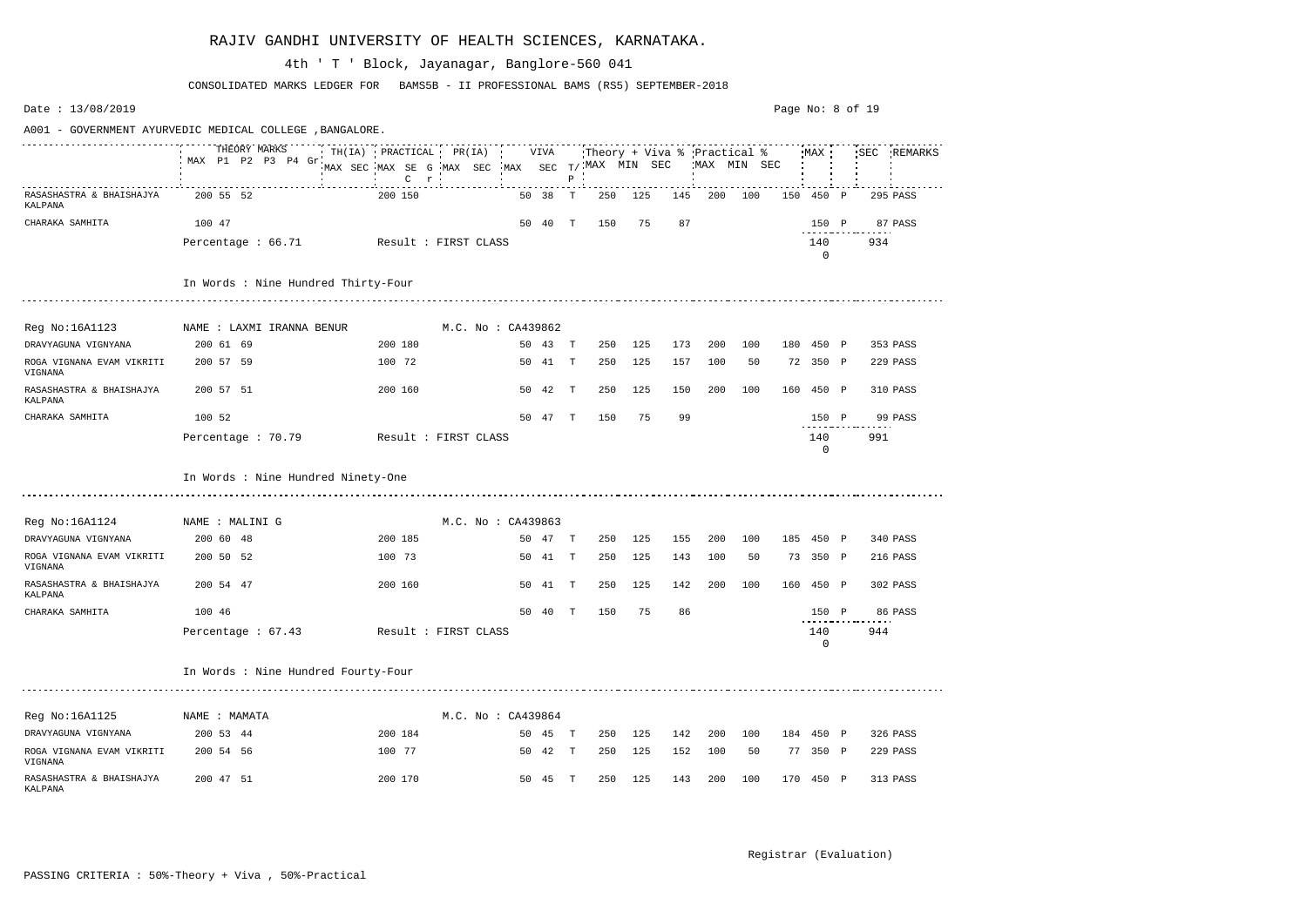Date : 13/08/2019 Page No: 8 of 19A001 - GOVERNMENT AYURVEDIC MEDICAL COLLEGE ,BANGALORE. THEORY MARKS TH(IA) PRACTICAL PR(IA) VIVA Theory + Viva % Practical % MAX SEC REMARKS MAX P1 P2 P3 P4 Gr MAX SEC T/ MAX MIN SEC MAX MIN SEC MAX SEC MAX SE G MAX SEC C P r RASASHASTRA & BHAISHAJYA 200 55 52 200 150 50 38 T 250 125 145 200 100 150 450 P 295 PASS KALPANA CHARAKA SAMHITA 100 47 50 40 T 150 75 87 150 P 87 PASS Percentage : 66.71 Result : FIRST CLASS 140 934 0 In Words : Nine Hundred Thirty-Four Reg No:16A1123 NAME : LAXMI IRANNA BENUR M.C. No : CA439862 DRAVYAGUNA VIGNYANA 200 61 69 200 180 50 43 T 250 125 173 200 100 180 450 P 353 PASS ROGA VIGNANA EVAM VIKRITI 200 57 59 100 72 50 41 T 250 125 157 100 50 72 350 P 229 PASS VIGNANA RASASHASTRA & BHAISHAJYA 200 57 51 200 160 50 42 T 250 125 150 200 100 160 450 P 310 PASS KALPANA CHARAKA SAMHITA 100 52 50 47 T 150 75 99 150 P 99 PASS Percentage : 70.79 Result : FIRST CLASS 140 991 0 In Words : Nine Hundred Ninety-One Reg No:16A1124 MAME : MALINI G MARE MALINI M.C. No : CA439863 DRAVYAGUNA VIGNYANA 200 60 48 200 185 50 47 T 250 125 155 200 100 185 450 P 340 PASS ROGA VIGNANA EVAM VIKRITI 200 50 52 100 73 50 41 T 250 125 143 100 50 73 350 P 216 PASS VIGNANA RASASHASTRA & BHAISHAJYA 200 54 47 200 160 50 41 T 250 125 142 200 100 160 450 P 302 PASS KALPANA CHARAKA SAMHITA 100 46 50 40 T 150 75 86 150 P 86 PASS Percentage : 67.43 Result : FIRST CLASS 140 944  $\Omega$ In Words : Nine Hundred Fourty-Four Reg No:16A1125 NAME : MAMATA M.C. No : CA439864 DRAVYAGUNA VIGNYANA 200 53 44 200 184 50 45 T 250 125 142 200 100 184 450 P 326 PASS ROGA VIGNANA EVAM VIKRITI 200 54 56 100 77 50 42 T 250 125 152 100 50 77 350 P 229 PASS VIGNANA RASASHASTRA & BHAISHAJYA 200 47 51 200 170 50 45 T 250 125 143 200 100 170 450 P 313 PASS KALPANA

#### RAJIV GANDHI UNIVERSITY OF HEALTH SCIENCES, KARNATAKA.

CONSOLIDATED MARKS LEDGER FOR BAMS5B - II PROFESSIONAL BAMS (RS5) SEPTEMBER-2018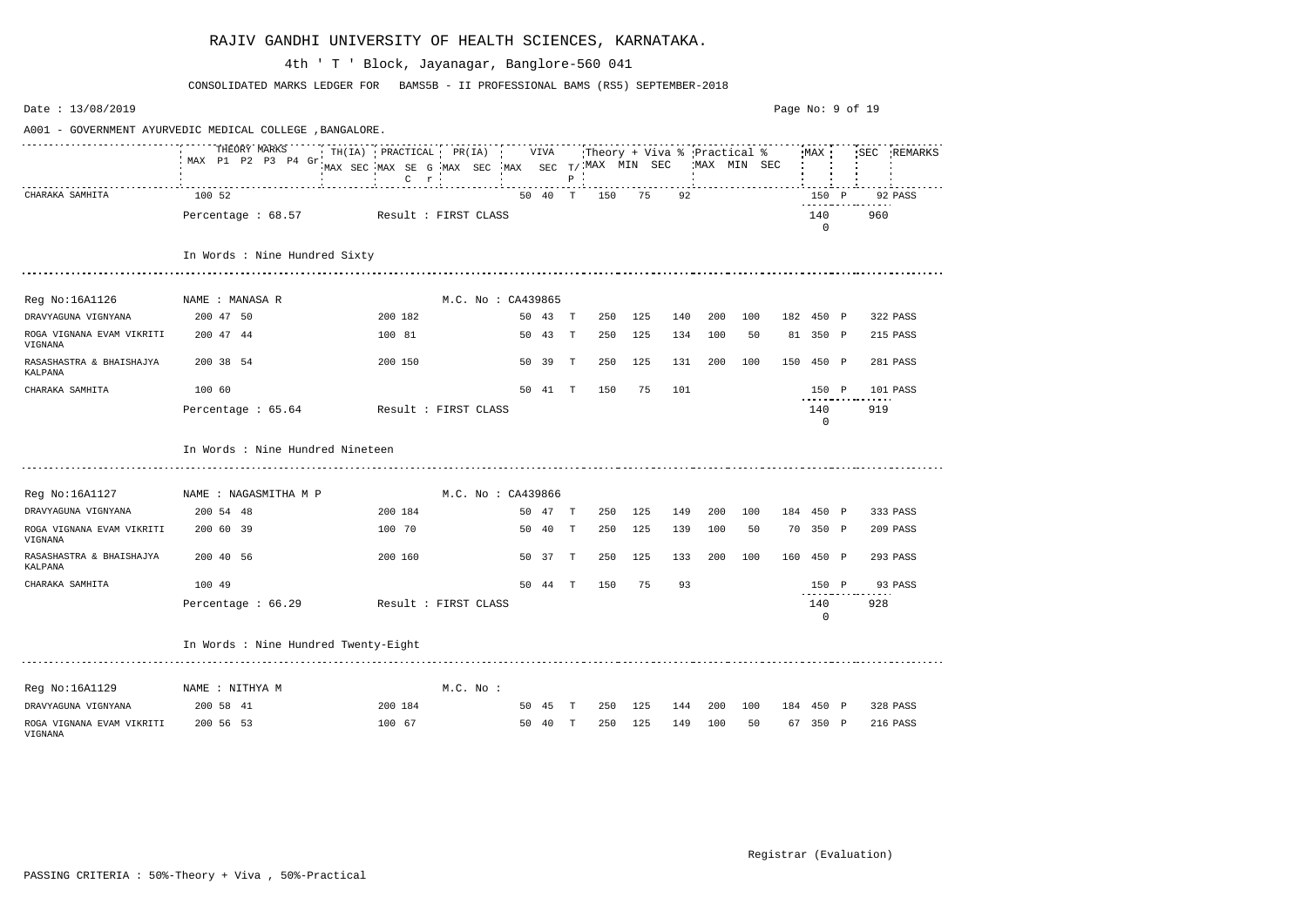| Date: 13/08/2019                     |                                                          |                                                                |                    |    |         |              |                            |     |     |         |                                             | Page No: 9 of 19 |                                |     |             |
|--------------------------------------|----------------------------------------------------------|----------------------------------------------------------------|--------------------|----|---------|--------------|----------------------------|-----|-----|---------|---------------------------------------------|------------------|--------------------------------|-----|-------------|
|                                      | A001 - GOVERNMENT AYURVEDIC MEDICAL COLLEGE , BANGALORE. |                                                                |                    |    |         |              |                            |     |     |         |                                             |                  |                                |     |             |
|                                      | THEORY MARKS<br>MAX P1 P2 P3 P4 Gr.                      | TH(IA) PRACTICAL PR(IA)<br>MAX SEC MAX SE G MAX SEC<br>$C$ $r$ |                    |    | VIVA    | $P$ $\vdots$ | $MAX$ SEC $T/$ MAX MIN SEC |     |     |         | :Theory + Viva % Practical %<br>MAX MIN SEC |                  | MAX                            |     | SEC REMARKS |
| CHARAKA SAMHITA                      | 100 52                                                   |                                                                |                    |    | 50 40 T |              | 150                        | 75  | 92  |         |                                             |                  | 150 P<br>- - - - - - - - - - - |     | 92 PASS     |
|                                      | Percentage : 68.57                                       | Result : FIRST CLASS                                           |                    |    |         |              |                            |     |     |         |                                             |                  | 140<br>$\mathbf 0$             | 960 |             |
|                                      | In Words : Nine Hundred Sixty                            |                                                                |                    |    |         |              |                            |     |     |         |                                             |                  |                                |     |             |
| Reg No:16A1126                       | NAME : MANASA R                                          |                                                                | M.C. No : CA439865 |    |         |              |                            |     |     |         |                                             |                  |                                |     |             |
| DRAVYAGUNA VIGNYANA                  | 200 47 50                                                | 200 182                                                        |                    |    | 50 43 T |              | 250                        | 125 | 140 | 200     | 100                                         |                  | 182 450 P                      |     | 322 PASS    |
| ROGA VIGNANA EVAM VIKRITI<br>VIGNANA | 200 47 44                                                | 100 81                                                         |                    |    | 50 43   | T            | 250                        | 125 | 134 | 100     | 50                                          |                  | 81 350 P                       |     | 215 PASS    |
| RASASHASTRA & BHAISHAJYA<br>KALPANA  | 200 38 54                                                | 200 150                                                        |                    |    | 50 39   | T            | 250                        | 125 | 131 | 200     | 100                                         | 150              | 450 P                          |     | 281 PASS    |
| CHARAKA SAMHITA                      | 100 60                                                   |                                                                |                    |    | 50 41 T |              | 150                        | 75  | 101 |         |                                             |                  | 150 P                          |     | 101 PASS    |
|                                      | Percentage : 65.64                                       | Result : FIRST CLASS                                           |                    |    |         |              |                            |     |     |         |                                             |                  | 140<br>$\mathbf 0$             | 919 |             |
|                                      | In Words : Nine Hundred Nineteen                         |                                                                |                    |    |         |              |                            |     |     |         |                                             |                  |                                |     |             |
| Reg No:16A1127 NAME : NAGASMITHA M P |                                                          |                                                                | M.C. No : CA439866 |    |         |              |                            |     |     |         |                                             |                  |                                |     |             |
| DRAVYAGUNA VIGNYANA                  | 200 54 48                                                | 200 184                                                        |                    |    | 50 47 T |              | 250                        | 125 | 149 | 200     | 100                                         |                  | 184 450 P                      |     | 333 PASS    |
| ROGA VIGNANA EVAM VIKRITI<br>VIGNANA | 200 60 39                                                | 100 70                                                         |                    |    | 50 40   | T            | 250                        | 125 | 139 | 100     | 50                                          |                  | 70 350 P                       |     | 209 PASS    |
| RASASHASTRA & BHAISHAJYA<br>KALPANA  | 200 40 56                                                | 200 160                                                        |                    |    | 50 37   | $\mathbb T$  | 250                        | 125 | 133 | 200     | 100                                         |                  | 160 450 P                      |     | 293 PASS    |
| CHARAKA SAMHITA                      | 100 49                                                   |                                                                |                    | 50 | 44      | Т            | 150                        | 75  | 93  |         |                                             |                  | 150 P                          |     | 93 PASS     |
|                                      | Percentage : 66.29                                       | Result : FIRST CLASS                                           |                    |    |         |              |                            |     |     |         |                                             |                  | 140<br>0                       | 928 |             |
|                                      | In Words : Nine Hundred Twenty-Eight                     |                                                                |                    |    |         |              |                            |     |     |         |                                             |                  |                                |     |             |
| Reg No:16A1129 MAME : NITHYA M       |                                                          |                                                                | $M.C.$ No :        |    |         |              |                            |     |     |         |                                             |                  |                                |     |             |
| DRAVYAGUNA VIGNYANA                  | 200 58 41                                                | 200 184                                                        |                    |    | 50 45 T |              | 250                        | 125 |     | 144 200 | 100                                         |                  | 184 450 P                      |     | 328 PASS    |
| ROGA VIGNANA EVAM VIKRITI<br>VIGNANA | 200 56 53                                                | 100 67                                                         |                    |    | 50 40 T |              | 250                        | 125 | 149 | 100     | 50                                          |                  | 67 350 P                       |     | 216 PASS    |

CONSOLIDATED MARKS LEDGER FOR BAMS5B - II PROFESSIONAL BAMS (RS5) SEPTEMBER-2018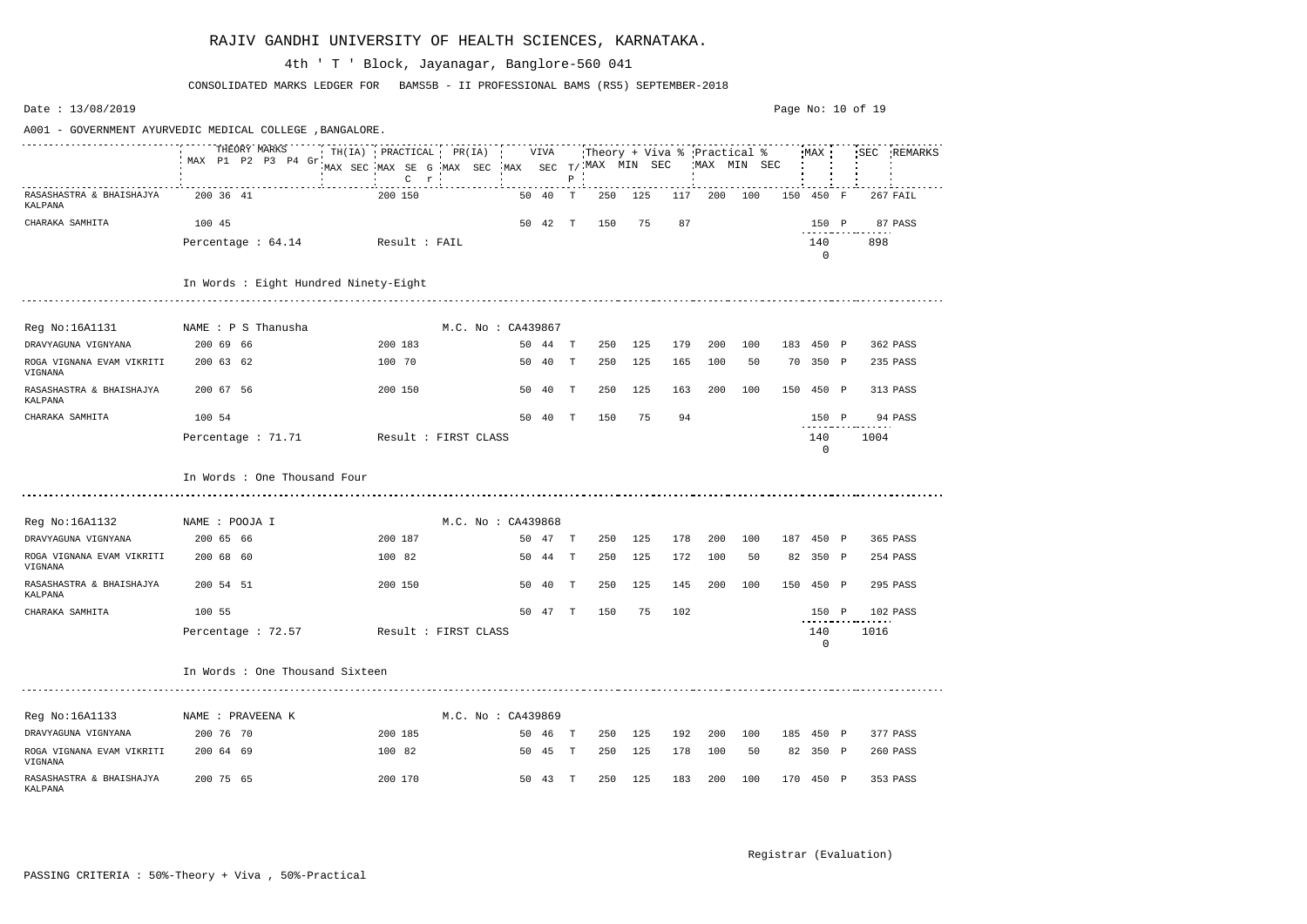| Date: $13/08/2019$                   |                                                          |                                                                |      |         |              |                        |         |     |                                              |     |     |           |              | Page No: 10 of 19 |          |
|--------------------------------------|----------------------------------------------------------|----------------------------------------------------------------|------|---------|--------------|------------------------|---------|-----|----------------------------------------------|-----|-----|-----------|--------------|-------------------|----------|
|                                      | A001 - GOVERNMENT AYURVEDIC MEDICAL COLLEGE , BANGALORE. |                                                                |      |         |              |                        |         |     |                                              |     |     |           |              |                   |          |
|                                      | THEORY MARKS<br>MAX P1 P2 P3 P4 Gr.                      | TH(IA) PRACTICAL PR(IA)<br>MAX SEC MAX SE G MAX SEC<br>$C$ $r$ | •MAX | VIVA    | $\, {\bf P}$ | SEC $T/$ . MAX MIN SEC |         |     | :Theory + Viva % :Practical %<br>MAX MIN SEC |     |     | MAX       |              | 'SEC              | REMARKS  |
| RASASHASTRA & BHAISHAJYA<br>KALPANA  | 200 36 41                                                | 200 150                                                        |      | 50 40   | T            | 250                    | 125     | 117 | 200                                          | 100 |     | 150 450   | $\mathbb{F}$ |                   | 267 FAIL |
| CHARAKA SAMHITA                      | 100 45                                                   |                                                                |      | 50 42   | T            | 150                    | 75      | 87  |                                              |     |     | 150 P     |              |                   | 87 PASS  |
|                                      | Percentage : 64.14                                       | Result : FAIL                                                  |      |         |              |                        |         |     |                                              |     |     | 140<br>0  |              | 898               |          |
|                                      | In Words : Eight Hundred Ninety-Eight                    |                                                                |      |         |              |                        |         |     |                                              |     |     |           |              |                   |          |
| Reg No:16A1131                       | NAME : P S Thanusha                                      | M.C. No: CA439867                                              |      |         |              |                        |         |     |                                              |     |     |           |              |                   |          |
| DRAVYAGUNA VIGNYANA                  | 200 69 66                                                | 200 183                                                        |      | 50 44   | T            | 250                    | 125     | 179 | 200                                          | 100 | 183 | 450 P     |              |                   | 362 PASS |
| ROGA VIGNANA EVAM VIKRITI<br>VIGNANA | 200 63 62                                                | 100 70                                                         |      | 50 40   | $\mathbb{T}$ | 250                    | 125     | 165 | 100                                          | 50  |     | 70 350 P  |              |                   | 235 PASS |
| RASASHASTRA & BHAISHAJYA<br>KALPANA  | 200 67 56                                                | 200 150                                                        | 50   | 40      | Т            | 250                    | 125     | 163 | 200                                          | 100 | 150 | 450 P     |              |                   | 313 PASS |
| CHARAKA SAMHITA                      | 100 54                                                   |                                                                |      | 50 40   | T            | 150                    | 75      | 94  |                                              |     |     | 150 P     |              |                   | 94 PASS  |
|                                      | Percentage : 71.71                                       | Result : FIRST CLASS                                           |      |         |              |                        |         |     |                                              |     |     | 140<br>0  |              | 1004              |          |
|                                      | In Words : One Thousand Four                             |                                                                |      |         |              |                        |         |     |                                              |     |     |           |              |                   |          |
| Reg No:16A1132                       | NAME : POOJA I                                           | M.C. No: CA439868                                              |      |         |              |                        |         |     |                                              |     |     |           |              |                   |          |
| DRAVYAGUNA VIGNYANA                  | 200 65 66                                                | 200 187                                                        |      | 50 47   | T            | 250                    | 125     | 178 | 200                                          | 100 | 187 | 450 P     |              |                   | 365 PASS |
| ROGA VIGNANA EVAM VIKRITI<br>VIGNANA | 200 68 60                                                | 100 82                                                         | 50   | 44      | $\mathbb{T}$ | 250                    | 125     | 172 | 100                                          | 50  | 82  | 350 P     |              |                   | 254 PASS |
| RASASHASTRA & BHAISHAJYA<br>KALPANA  | 200 54 51                                                | 200 150                                                        | 50   | -40     | Т            | 250                    | 125     | 145 | 200                                          | 100 |     | 150 450   | $\mathbb{P}$ |                   | 295 PASS |
| CHARAKA SAMHITA                      | 100 55                                                   |                                                                |      |         |              | 50 47 T 150            | 75      | 102 |                                              |     |     | 150 P     |              |                   | 102 PASS |
|                                      | Percentage : 72.57                                       | Result : FIRST CLASS                                           |      |         |              |                        |         |     |                                              |     |     | 140<br>0  |              | 1016              |          |
|                                      | In Words : One Thousand Sixteen                          |                                                                |      |         |              |                        |         |     |                                              |     |     |           |              |                   |          |
| Reg No:16A1133                       | NAME : PRAVEENA K                                        | M.C. No: CA439869                                              |      |         |              |                        |         |     |                                              |     |     |           |              |                   |          |
| DRAVYAGUNA VIGNYANA                  | 200 76 70                                                | 200 185                                                        |      | 50 46 T |              | 250                    | 125     | 192 | 200                                          | 100 |     | 185 450 P |              |                   | 377 PASS |
| ROGA VIGNANA EVAM VIKRITI<br>VIGNANA | 200 64 69                                                | 100 82                                                         |      | 50 45 T |              | 250                    | 125     | 178 | 100                                          | 50  |     | 82 350 P  |              |                   | 260 PASS |
| RASASHASTRA & BHAISHAJYA<br>KALPANA  | 200 75 65                                                | 200 170                                                        |      | 50 43 T |              |                        | 250 125 | 183 | 200                                          | 100 |     | 170 450 P |              |                   | 353 PASS |

CONSOLIDATED MARKS LEDGER FOR BAMS5B - II PROFESSIONAL BAMS (RS5) SEPTEMBER-2018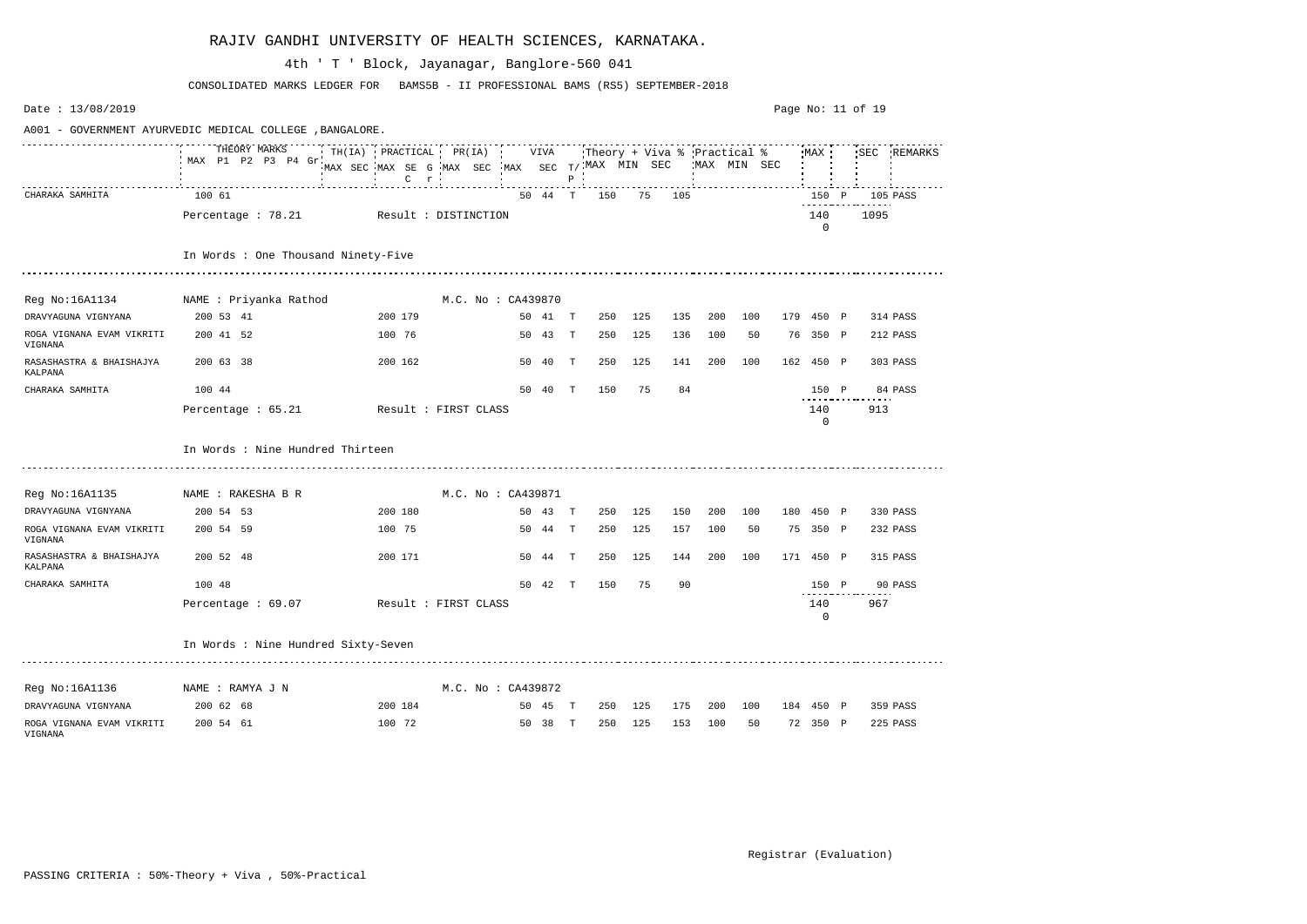| Date: 13/08/2019                                         |                                         |                                                                                         |  |                    |         |              |                             |         |        |             |              | Page No: $11$ of $19$ |                     |      |             |
|----------------------------------------------------------|-----------------------------------------|-----------------------------------------------------------------------------------------|--|--------------------|---------|--------------|-----------------------------|---------|--------|-------------|--------------|-----------------------|---------------------|------|-------------|
| A001 - GOVERNMENT AYURVEDIC MEDICAL COLLEGE , BANGALORE. |                                         |                                                                                         |  |                    |         |              |                             |         |        |             |              |                       |                     |      |             |
|                                                          | THEORY MARKS<br>MAX P1 P2 P3 P4 Gr      | TH(IA) PRACTICAL PR(IA)<br>MAX SEC MAX SE G MAX SEC MAX SEC $T/$ MAX MIN SEC<br>$C$ $r$ |  |                    | VIVA    | $P$ $\cdot$  | Theory + Viva % Practical % |         |        |             | 'MAX MIN SEC |                       | MAX                 |      | SEC REMARKS |
| CHARAKA SAMHITA                                          | 100 61                                  |                                                                                         |  |                    | 50 44 T |              | 150                         |         | 75 105 |             |              |                       | 150 P               | .    | 105 PASS    |
|                                                          | Percentage : 78.21 Result : DISTINCTION |                                                                                         |  |                    |         |              |                             |         |        |             |              |                       | 140<br>$\mathbf{0}$ | 1095 |             |
|                                                          | In Words : One Thousand Ninety-Five     |                                                                                         |  |                    |         |              |                             |         |        |             |              |                       |                     |      |             |
|                                                          |                                         |                                                                                         |  |                    |         |              |                             |         |        |             |              |                       |                     |      |             |
| Reg No:16A1134 MAME : Priyanka Rathod                    |                                         |                                                                                         |  | M.C. No : CA439870 |         |              |                             |         |        |             |              |                       |                     |      |             |
| DRAVYAGUNA VIGNYANA                                      | 200 53 41                               | 200 179                                                                                 |  |                    | 50 41 T |              | 250                         | 125     | 135    | 200         | 100          |                       | 179 450 P           |      | 314 PASS    |
| ROGA VIGNANA EVAM VIKRITI<br>VIGNANA                     | 200 41 52                               | 100 76                                                                                  |  |                    | 50 43 T |              | 250                         | 125     | 136    | 100         | 50           |                       | 76 350 P            |      | 212 PASS    |
| RASASHASTRA & BHAISHAJYA<br>KALPANA                      | 200 63 38                               | 200 162                                                                                 |  |                    | 50 40   | T            | 250                         | 125     | 141    | 200         | 100          |                       | 162 450 P           |      | 303 PASS    |
| CHARAKA SAMHITA                                          | 100 44                                  |                                                                                         |  |                    | 50 40   | $\mathbf{T}$ | 150                         | 75      | 84     |             |              |                       | 150 P               |      | 84 PASS     |
|                                                          | Percentage $: 65.21$                    | Result : FIRST CLASS                                                                    |  |                    |         |              |                             |         |        |             |              |                       | 140<br>$\mathbf{0}$ | 913  |             |
|                                                          | In Words : Nine Hundred Thirteen        |                                                                                         |  |                    |         |              |                             |         |        |             |              |                       |                     |      |             |
| Reg No:16A1135                                           | NAME : RAKESHA B R                      |                                                                                         |  | M.C. No : CA439871 |         |              |                             |         |        |             |              |                       |                     |      |             |
| DRAVYAGUNA VIGNYANA                                      | 200 54 53                               | 200 180                                                                                 |  |                    | 50 43 T |              | 250                         | 125     | 150    | 200         | 100          |                       | 180 450 P           |      | 330 PASS    |
| ROGA VIGNANA EVAM VIKRITI<br>VIGNANA                     | 200 54 59                               | 100 75                                                                                  |  |                    | 50 44 T |              | 250                         | 125     | 157    | 100         | 50           |                       | 75 350 P            |      | 232 PASS    |
| RASASHASTRA & BHAISHAJYA<br>KALPANA                      | 200 52 48                               | 200 171                                                                                 |  |                    | 50 44 T |              | 250                         | 125     | 144    | 200         | 100          |                       | 171 450 P           |      | 315 PASS    |
| CHARAKA SAMHITA                                          | 100 48                                  |                                                                                         |  | 50                 | 42      | Т            | 150                         | 75      | 90     |             |              |                       | 150 P               |      | 90 PASS     |
|                                                          | Percentage : 69.07                      | Result : FIRST CLASS                                                                    |  |                    |         |              |                             |         |        |             |              |                       | 140<br>0            | 967  |             |
|                                                          | In Words : Nine Hundred Sixty-Seven     |                                                                                         |  |                    |         |              |                             |         |        |             |              |                       |                     |      |             |
| Reg No:16A1136                                           | NAME : RAMYA J N                        |                                                                                         |  | M.C. No : CA439872 |         |              |                             |         |        |             |              |                       |                     |      |             |
| DRAVYAGUNA VIGNYANA                                      | 200 62 68                               | 200 184                                                                                 |  |                    | 50 45 T |              |                             | 250 125 |        | 175 200 100 |              |                       | 184 450 P           |      | 359 PASS    |
| ROGA VIGNANA EVAM VIKRITI<br>VIGNANA                     | 200 54 61                               | 100 72                                                                                  |  |                    | 50 38 T |              | 250                         | 125     | 153    | 100         | 50           |                       | 72 350 P            |      | 225 PASS    |

CONSOLIDATED MARKS LEDGER FOR BAMS5B - II PROFESSIONAL BAMS (RS5) SEPTEMBER-2018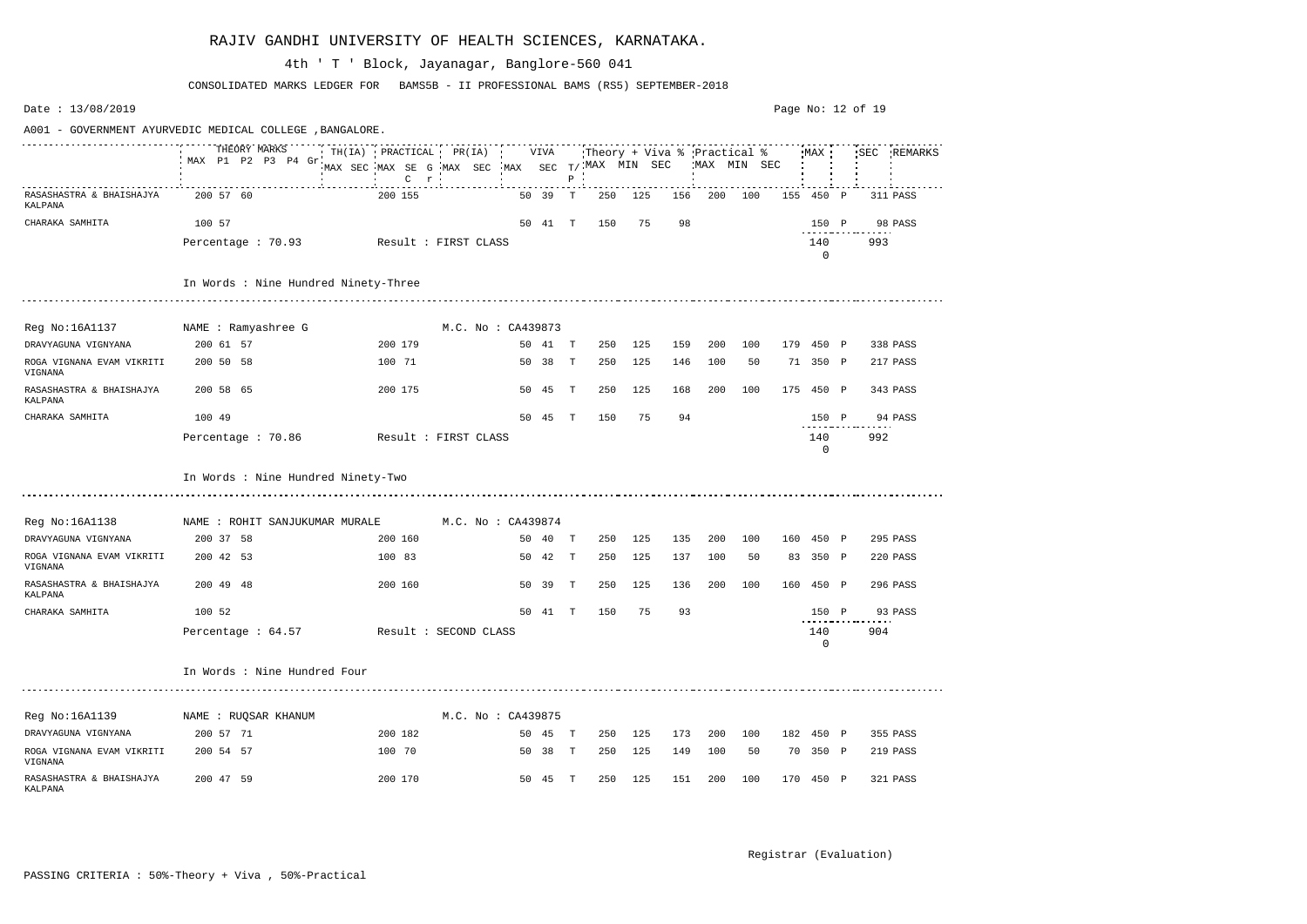Date : 13/08/2019 Page No: 12 of 19A001 - GOVERNMENT AYURVEDIC MEDICAL COLLEGE ,BANGALORE. THEORY MARKS TH(IA) PRACTICAL PR(IA) VIVA Theory + Viva % Practical % MAX SEC REMARKS MAX P1 P2 P3 P4 Gr MAX SEC T/ MAX MIN SEC MAX MIN SEC MAX SEC MAX SE G MAX SEC C P r RASASHASTRA & BHAISHAJYA 200 57 60 200 155 50 39 T 250 125 156 200 100 155 450 P 311 PASS KALPANA CHARAKA SAMHITA 100 57 50 41 T 150 75 98 150 P 98 PASS Percentage : 70.93 Result : FIRST CLASS 140 993 0 In Words : Nine Hundred Ninety-Three Reg No:16A1137 MAME : Ramyashree G M.C. No : CA439873 DRAVYAGUNA VIGNYANA 200 61 57 200 179 50 41 T 250 125 159 200 100 179 450 P 338 PASS ROGA VIGNANA EVAM VIKRITI 200 50 58 100 71 50 38 T 250 125 146 100 50 71 350 P 217 PASS VIGNANA RASASHASTRA & BHAISHAJYA 200 58 65 200 175 50 45 T 250 125 168 200 100 175 450 P 343 PASS KALPANA CHARAKA SAMHITA 100 49 50 45 T 150 75 94 150 P 94 PASS Percentage : 70.86 Result : FIRST CLASS 140 992 0 In Words : Nine Hundred Ninety-Two Reg No:16A1138 MAME : ROHIT SANJUKUMAR MURALE M.C. No : CA439874 DRAVYAGUNA VIGNYANA 200 37 58 200 160 50 40 T 250 125 135 200 100 160 450 P 295 PASS ROGA VIGNANA EVAM VIKRITI 200 42 53 100 83 50 42 T 250 125 137 100 50 83 350 P 220 PASS VIGNANA RASASHASTRA & BHAISHAJYA 200 49 48 200 160 50 39 T 250 125 136 200 100 160 450 P 296 PASS KALPANA CHARAKA SAMHITA 100 52 50 41 T 150 75 93 150 P 93 PASS Percentage : 64.57 Result : SECOND CLASS 240 904  $\Omega$ In Words : Nine Hundred Four Reg No:16A1139 MAME : RUQSAR KHANUM M.C. No : CA439875 DRAVYAGUNA VIGNYANA 200 57 71 200 182 50 45 T 250 125 173 200 100 182 450 P 355 PASS ROGA VIGNANA EVAM VIKRITI 200 54 57 100 70 50 38 T 250 125 149 100 50 70 350 P 219 PASS VIGNANA RASASHASTRA & BHAISHAJYA 200 47 59 200 170 50 45 T 250 125 151 200 100 170 450 P 321 PASS KALPANA

#### RAJIV GANDHI UNIVERSITY OF HEALTH SCIENCES, KARNATAKA.

CONSOLIDATED MARKS LEDGER FOR BAMS5B - II PROFESSIONAL BAMS (RS5) SEPTEMBER-2018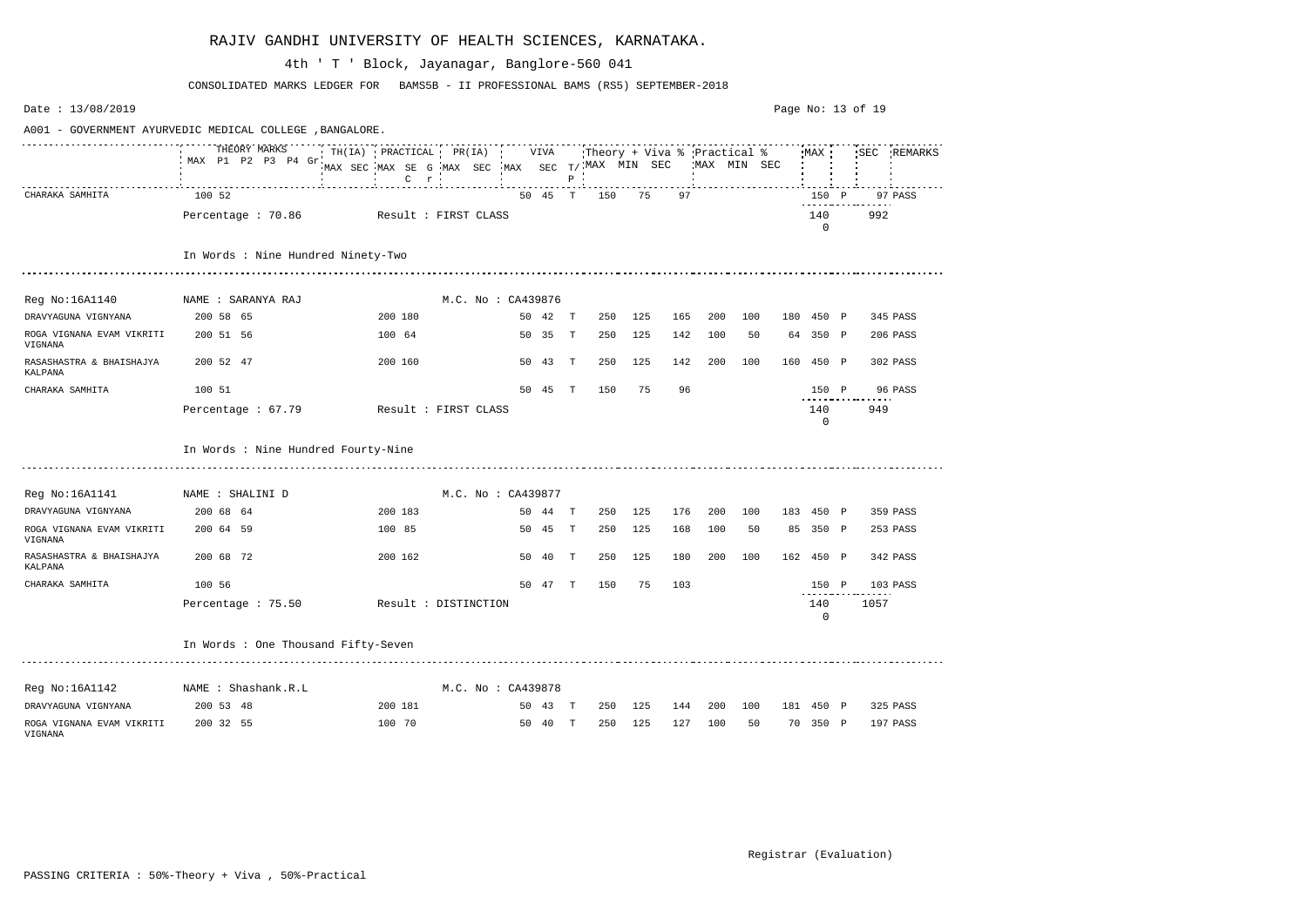| Date: 13/08/2019                                         |                                         |                                                                                        |  |                    |         |              |                             |         |     |             |         |                       | Page No: 13 of 19 |             |
|----------------------------------------------------------|-----------------------------------------|----------------------------------------------------------------------------------------|--|--------------------|---------|--------------|-----------------------------|---------|-----|-------------|---------|-----------------------|-------------------|-------------|
| A001 - GOVERNMENT AYURVEDIC MEDICAL COLLEGE , BANGALORE. |                                         |                                                                                        |  |                    |         |              |                             |         |     |             |         |                       |                   |             |
|                                                          | THEORY MARKS<br>MAX P1 P2 P3 P4 Gr      | $TH(IA)$ PRACTICAL PR(IA)<br>MAX SEC MAX SE G MAX SEC MAX SEC T/MAX MIN SEC<br>$C$ $r$ |  |                    | VIVA    | $P$ $\cdot$  | Theory + Viva % Practical % |         |     | MAX MIN SEC |         | MAX                   |                   | SEC REMARKS |
| CHARAKA SAMHITA                                          | 100 52                                  |                                                                                        |  |                    | 50 45 T |              | 150                         | 75      | 97  |             |         | 150 P                 | .                 | 97 PASS     |
|                                                          | Percentage : 70.86 Result : FIRST CLASS |                                                                                        |  |                    |         |              |                             |         |     |             |         | 140<br>$\Omega$       | 992               |             |
|                                                          | In Words : Nine Hundred Ninety-Two      |                                                                                        |  |                    |         |              |                             |         |     |             |         |                       |                   |             |
|                                                          |                                         |                                                                                        |  |                    |         |              |                             |         |     |             |         |                       |                   |             |
| Reg No:16A1140                                           | NAME : SARANYA RAJ                      |                                                                                        |  | M.C. No : CA439876 |         |              |                             |         |     |             |         |                       |                   |             |
| DRAVYAGUNA VIGNYANA                                      | 200 58 65                               | 200 180                                                                                |  |                    | 50 42 T |              | 250                         | 125     | 165 | 200         | 100     | 180 450 P             |                   | 345 PASS    |
| ROGA VIGNANA EVAM VIKRITI<br>VIGNANA                     | 200 51 56                               | 100 64                                                                                 |  |                    | 50 35   | $\mathbf{T}$ | 250                         | 125     | 142 | 100         | 50      | 64 350 P              |                   | 206 PASS    |
| RASASHASTRA & BHAISHAJYA<br>KALPANA                      | 200 52 47                               | 200 160                                                                                |  |                    | 50 43   | T            | 250                         | 125     | 142 | 200         | 100     | 160 450 P             |                   | 302 PASS    |
| CHARAKA SAMHITA                                          | 100 51                                  |                                                                                        |  |                    | 50 45   | T            | 150                         | 75      | 96  |             |         | 150 P                 |                   | 96 PASS     |
|                                                          | Percentage : 67.79                      | Result : FIRST CLASS                                                                   |  |                    |         |              |                             |         |     |             |         | 140<br>$\overline{0}$ | 949               |             |
|                                                          | In Words : Nine Hundred Fourty-Nine     |                                                                                        |  |                    |         |              |                             |         |     |             |         |                       |                   |             |
| Reg No:16A1141                                           | NAME : SHALINI D                        |                                                                                        |  | M.C. No : CA439877 |         |              |                             |         |     |             |         |                       |                   |             |
| DRAVYAGUNA VIGNYANA                                      | 200 68 64                               | 200 183                                                                                |  |                    | 50 44 T |              | 250                         | 125     | 176 | 200         | 100     | 183 450 P             |                   | 359 PASS    |
| ROGA VIGNANA EVAM VIKRITI<br>VIGNANA                     | 200 64 59                               | 100 85                                                                                 |  |                    | 50 45 T |              | 250                         | 125     | 168 | 100         | 50      | 85 350 P              |                   | 253 PASS    |
| RASASHASTRA & BHAISHAJYA<br>KALPANA                      | 200 68 72                               | 200 162                                                                                |  |                    | 50 40   | Т            | 250                         | 125     | 180 | 200         | 100     | 162 450 P             |                   | 342 PASS    |
| CHARAKA SAMHITA                                          | 100 56                                  |                                                                                        |  | 50                 | -47     | Т            | 150                         | 75      | 103 |             |         | 150 P                 |                   | 103 PASS    |
|                                                          | Percentage : 75.50 Result : DISTINCTION |                                                                                        |  |                    |         |              |                             |         |     |             |         | 140<br>0              | 1057              |             |
|                                                          | In Words : One Thousand Fifty-Seven     |                                                                                        |  |                    |         |              |                             |         |     |             |         |                       |                   |             |
| Reg No:16A1142                                           | NAME : Shashank.R.L                     |                                                                                        |  | M.C. No : CA439878 |         |              |                             |         |     |             |         |                       |                   |             |
| DRAVYAGUNA VIGNYANA                                      | 200 53 48                               | 200 181                                                                                |  |                    | 50 43 T |              |                             | 250 125 | 144 |             | 200 100 | 181 450 P             |                   | 325 PASS    |
| ROGA VIGNANA EVAM VIKRITI<br>VIGNANA                     | 200 32 55                               | 100 70                                                                                 |  |                    | 50 40 T |              |                             | 250 125 | 127 | 100         | 50      | 70 350 P              |                   | 197 PASS    |

CONSOLIDATED MARKS LEDGER FOR BAMS5B - II PROFESSIONAL BAMS (RS5) SEPTEMBER-2018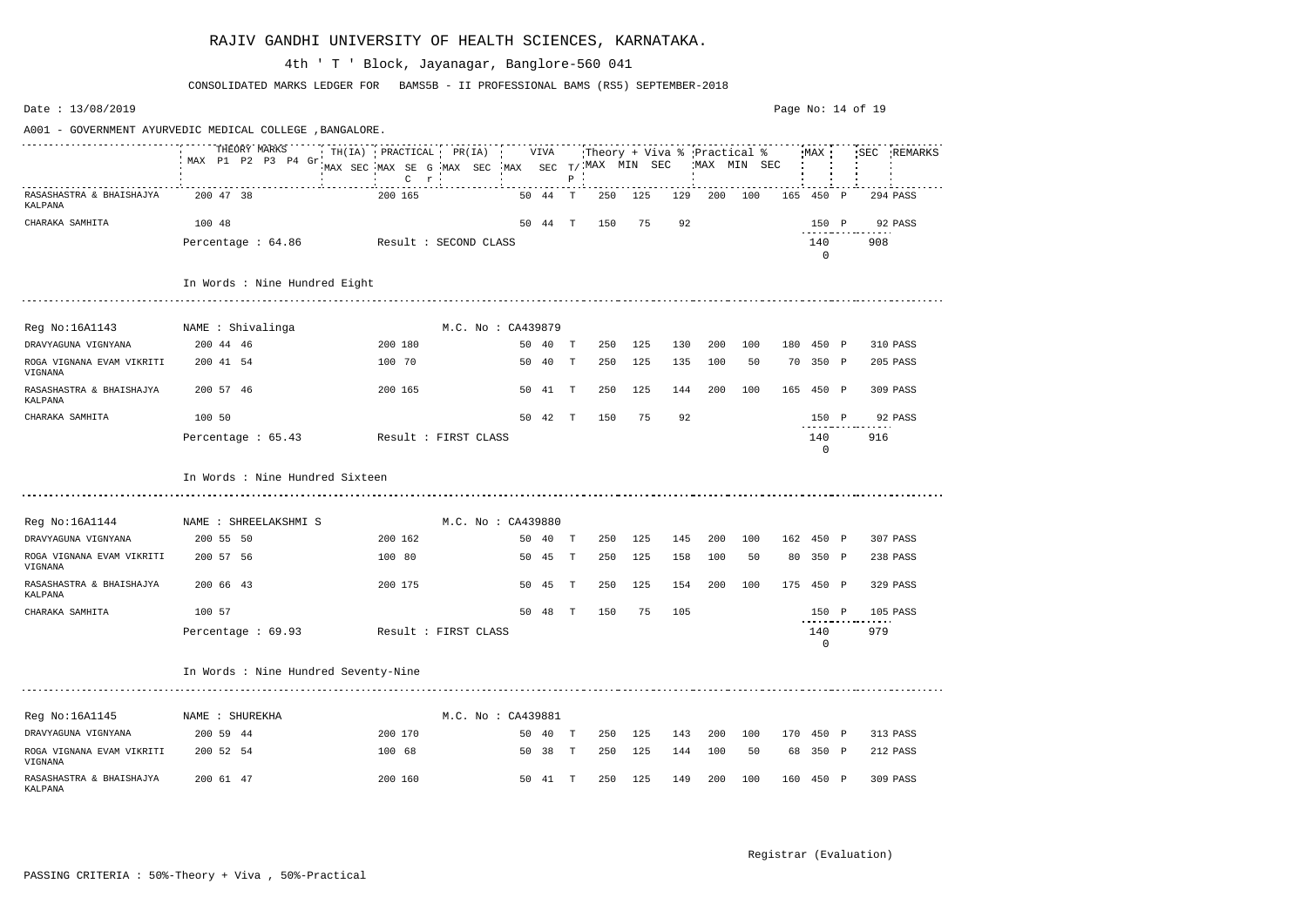Date : 13/08/2019 Page No: 14 of 19A001 - GOVERNMENT AYURVEDIC MEDICAL COLLEGE ,BANGALORE. THEORY MARKS TH(IA) PRACTICAL PR(IA) VIVA Theory + Viva % Practical % MAX SEC REMARKS MAX P1 P2 P3 P4 Gr MAX SEC T/ MAX MIN SEC MAX MIN SEC MAX SEC MAX SE G MAX SEC C P r RASASHASTRA & BHAISHAJYA 200 47 38 200 165 50 44 T 250 125 129 200 100 165 450 P 294 PASS KALPANA CHARAKA SAMHITA 100 48 50 44 T 150 75 92 150 P 92 PASS Percentage : 64.86 Result : SECOND CLASS 140 908 0 In Words : Nine Hundred Eight Reg No:16A1143 NAME : Shivalinga M.C. No : CA439879 DRAVYAGUNA VIGNYANA 200 44 46 200 180 50 40 T 250 125 130 200 100 180 450 P 310 PASS ROGA VIGNANA EVAM VIKRITI 200 41 54 100 70 50 40 T 250 125 135 100 50 70 350 P 205 PASS VIGNANA RASASHASTRA & BHAISHAJYA 200 57 46 200 165 50 41 T 250 125 144 200 100 165 450 P 309 PASS KALPANA CHARAKA SAMHITA 100 50 50 42 T 150 75 92 150 P 92 PASS Percentage : 65.43 Result : FIRST CLASS 140 916 0 In Words : Nine Hundred Sixteen Reg No:16A1144 MAME : SHREELAKSHMI S M.C. No : CA439880 DRAVYAGUNA VIGNYANA 200 55 50 200 162 50 40 T 250 125 145 200 100 162 450 P 307 PASS ROGA VIGNANA EVAM VIKRITI 200 57 56 100 80 50 45 T 250 125 158 100 50 80 350 P 238 PASS VIGNANA RASASHASTRA & BHAISHAJYA 200 66 43 200 175 50 45 T 250 125 154 200 100 175 450 P 329 PASS KALPANA CHARAKA SAMHITA 100 57 50 48 T 150 75 105 150 P 105 PASS Percentage : 69.93 Result : FIRST CLASS 140 979  $\Omega$ In Words : Nine Hundred Seventy-Nine Reg No:16A1145 NAME : SHUREKHA M.C. No : CA439881 DRAVYAGUNA VIGNYANA 200 59 44 200 170 50 40 T 250 125 143 200 100 170 450 P 313 PASS ROGA VIGNANA EVAM VIKRITI 200 52 54 100 68 50 38 T 250 125 144 100 50 68 350 P 212 PASS VIGNANA RASASHASTRA & BHAISHAJYA 200 61 47 200 160 50 41 T 250 125 149 200 100 160 450 P 309 PASS KALPANA

#### RAJIV GANDHI UNIVERSITY OF HEALTH SCIENCES, KARNATAKA.

CONSOLIDATED MARKS LEDGER FOR BAMS5B - II PROFESSIONAL BAMS (RS5) SEPTEMBER-2018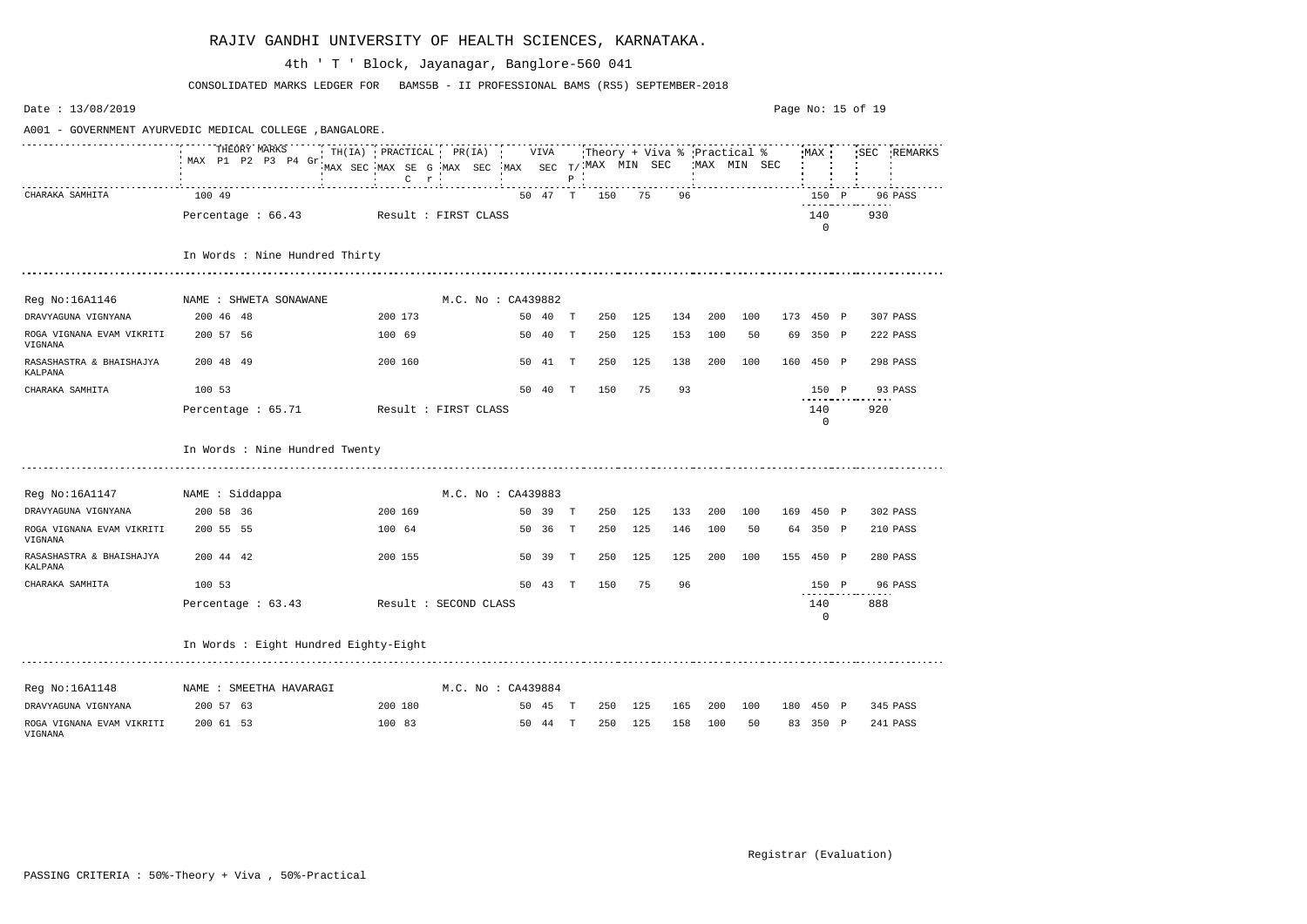| Date: 13/08/2019                           |                                                          |                                                                                        |  |                    |         |              |     |         |     |                                              |     | Page No: 15 of 19 |                    |     |             |
|--------------------------------------------|----------------------------------------------------------|----------------------------------------------------------------------------------------|--|--------------------|---------|--------------|-----|---------|-----|----------------------------------------------|-----|-------------------|--------------------|-----|-------------|
|                                            | A001 - GOVERNMENT AYURVEDIC MEDICAL COLLEGE , BANGALORE. |                                                                                        |  |                    |         |              |     |         |     |                                              |     |                   |                    |     |             |
|                                            | THEORY MARKS<br>MAX P1 P2 P3 P4 Gr                       | $TH(IA)$ PRACTICAL PR(IA)<br>MAX SEC MAX SE G MAX SEC MAX SEC T/MAX MIN SEC<br>$C$ $r$ |  |                    | VIVA    | $P$ $\cdot$  |     |         |     | :Theory + Viva % :Practical %<br>MAX MIN SEC |     |                   | MAX                |     | SEC REMARKS |
| CHARAKA SAMHITA                            | 100 49                                                   |                                                                                        |  |                    | 50 47 T |              | 150 | 75      | 96  |                                              |     |                   | 150 P              |     | 96 PASS     |
|                                            | Percentage : 66.43                                       | Result : FIRST CLASS                                                                   |  |                    |         |              |     |         |     |                                              |     |                   | 140<br>0           | 930 |             |
|                                            | In Words : Nine Hundred Thirty                           |                                                                                        |  |                    |         |              |     |         |     |                                              |     |                   |                    |     |             |
| Reg No:16A1146                             | NAME : SHWETA SONAWANE                                   |                                                                                        |  | M.C. No: CA439882  |         |              |     |         |     |                                              |     |                   |                    |     |             |
| DRAVYAGUNA VIGNYANA                        | 200 46 48                                                | 200 173                                                                                |  |                    | 50 40 T |              | 250 | 125     | 134 | 200                                          | 100 |                   | 173 450 P          |     | 307 PASS    |
| ROGA VIGNANA EVAM VIKRITI<br>VIGNANA       | 200 57 56                                                | 100 69                                                                                 |  |                    | 50 40   | $\mathbf{T}$ | 250 | 125     | 153 | 100                                          | 50  | 69                | 350 P              |     | 222 PASS    |
| RASASHASTRA & BHAISHAJYA<br><b>KALPANA</b> | 200 48 49                                                | 200 160                                                                                |  |                    | 50 41   | $\mathbf{T}$ | 250 | 125     | 138 | 200                                          | 100 | 160               | 450 P              |     | 298 PASS    |
| CHARAKA SAMHITA                            | 100 53                                                   |                                                                                        |  |                    | 50 40 T |              | 150 | 75      | 93  |                                              |     |                   | 150 P              |     | 93 PASS     |
|                                            | Percentage : 65.71                                       | Result : FIRST CLASS                                                                   |  |                    |         |              |     |         |     |                                              |     |                   | 140<br>$\mathbf 0$ | 920 |             |
|                                            | In Words : Nine Hundred Twenty                           |                                                                                        |  |                    |         |              |     |         |     |                                              |     |                   |                    |     |             |
| Reg No:16A1147 MAME : Siddappa             |                                                          |                                                                                        |  | M.C. No : CA439883 |         |              |     |         |     |                                              |     |                   |                    |     |             |
| DRAVYAGUNA VIGNYANA                        | 200 58 36                                                | 200 169                                                                                |  |                    | 50 39 T |              | 250 | 125     | 133 | 200                                          | 100 |                   | 169 450 P          |     | 302 PASS    |
| ROGA VIGNANA EVAM VIKRITI<br>VIGNANA       | 200 55 55                                                | 100 64                                                                                 |  |                    | 50 36 T |              | 250 | 125     | 146 | 100                                          | 50  |                   | 64 350 P           |     | 210 PASS    |
| RASASHASTRA & BHAISHAJYA<br>KALPANA        | 200 44 42                                                | 200 155                                                                                |  |                    | 50 39   | T            | 250 | 125     | 125 | 200                                          | 100 |                   | 155 450 P          |     | 280 PASS    |
| CHARAKA SAMHITA                            | 100 53                                                   |                                                                                        |  |                    | 50 43   | $\mathbb T$  | 150 | 75      | 96  |                                              |     |                   | 150 P              |     | 96 PASS     |
|                                            | Percentage: 63.43 Result: SECOND CLASS                   |                                                                                        |  |                    |         |              |     |         |     |                                              |     |                   | 140<br>0           | 888 |             |
|                                            | In Words : Eight Hundred Eighty-Eight                    |                                                                                        |  |                    |         |              |     |         |     |                                              |     |                   |                    |     |             |
|                                            | Reg No:16A1148 MAME : SMEETHA HAVARAGI                   |                                                                                        |  | M.C. No: CA439884  |         |              |     |         |     |                                              |     |                   |                    |     |             |
| DRAVYAGUNA VIGNYANA                        | 200 57 63                                                | 200 180                                                                                |  |                    | 50 45 T |              |     |         |     | 250 125 165 200 100                          |     |                   | 180 450 P          |     | 345 PASS    |
| ROGA VIGNANA EVAM VIKRITI<br>VIGNANA       | 200 61 53                                                | 100 83                                                                                 |  |                    | 50 44 T |              |     | 250 125 | 158 | 100                                          | 50  |                   | 83 350 P           |     | 241 PASS    |

CONSOLIDATED MARKS LEDGER FOR BAMS5B - II PROFESSIONAL BAMS (RS5) SEPTEMBER-2018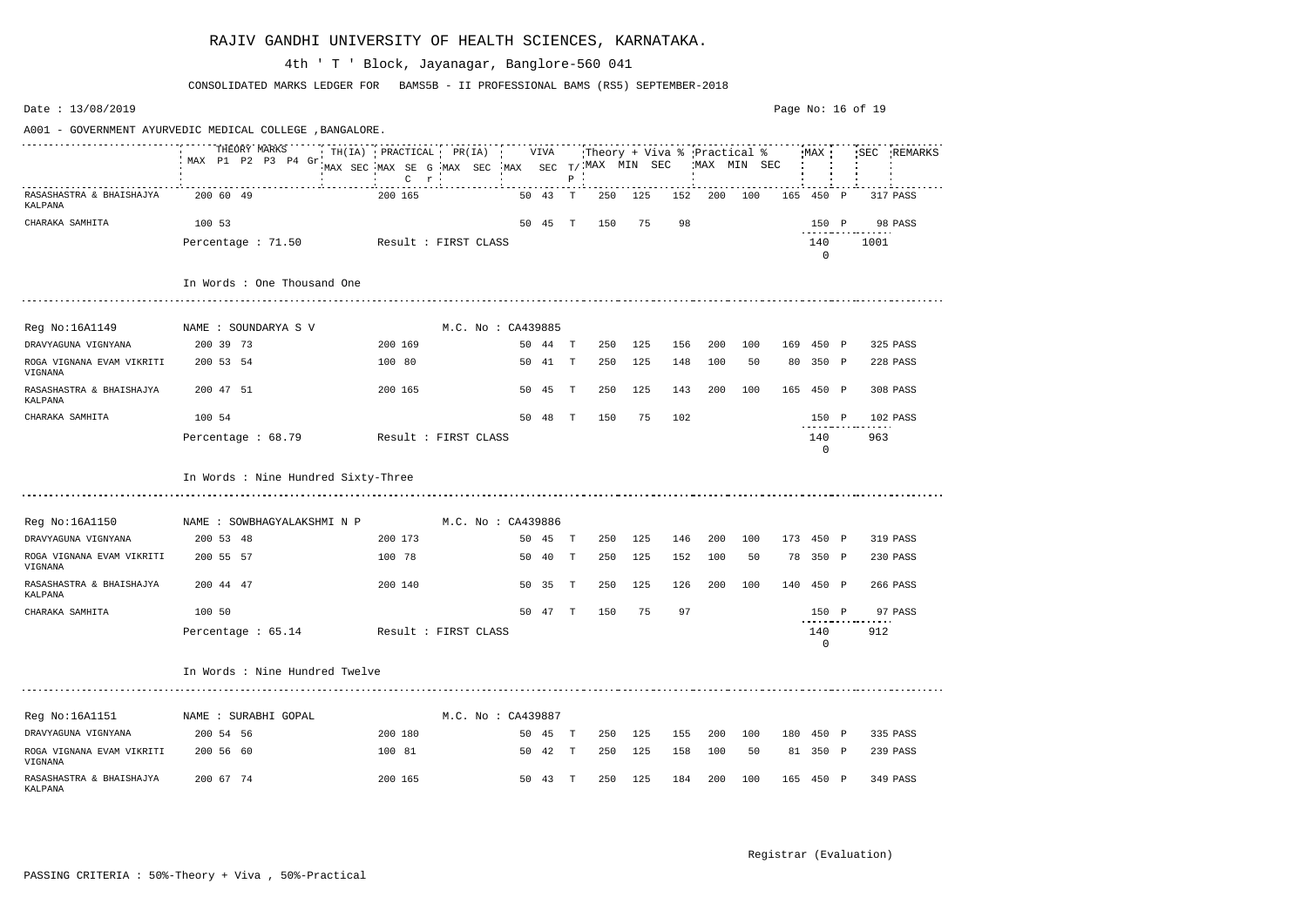| Date: $13/08/2019$                   |                                                          |                                                                  |                      |     |         |              |                                                       |     |     |             |     |     | Page No: $16$ of $19$ |              |      |             |
|--------------------------------------|----------------------------------------------------------|------------------------------------------------------------------|----------------------|-----|---------|--------------|-------------------------------------------------------|-----|-----|-------------|-----|-----|-----------------------|--------------|------|-------------|
|                                      | A001 - GOVERNMENT AYURVEDIC MEDICAL COLLEGE , BANGALORE. |                                                                  |                      |     |         |              |                                                       |     |     |             |     |     |                       |              |      |             |
|                                      | THEORY MARKS<br>MAX P1 P2 P3 P4 Gr.                      | $TH(IA)$ PRACTICAL PR(IA)<br>MAX SEC MAX SE G MAX SEC<br>$C$ $r$ |                      | MAX | VIVA    | $\, {\bf P}$ | Theory + Viva % Practical %<br>SEC $T/$ . MAX MIN SEC |     |     | MAX MIN SEC |     |     | MAX :                 |              |      | SEC REMARKS |
| RASASHASTRA & BHAISHAJYA<br>KALPANA  | 200 60 49                                                | 200 165                                                          |                      |     | 50 43   | T            | 250                                                   | 125 | 152 | 200         | 100 | 165 | 450                   | $\mathbb{P}$ |      | 317 PASS    |
| CHARAKA SAMHITA                      | 100 53                                                   |                                                                  |                      |     | 50 45   | $\mathbb{T}$ | 150                                                   | 75  | 98  |             |     |     | 150 P                 |              |      | 98 PASS     |
|                                      | Percentage: 71.50                                        | Result : FIRST CLASS                                             |                      |     |         |              |                                                       |     |     |             |     |     | 140<br>0              |              | 1001 |             |
|                                      | In Words : One Thousand One                              |                                                                  |                      |     |         |              |                                                       |     |     |             |     |     |                       |              |      |             |
| Reg No:16A1149                       | NAME : SOUNDARYA S V                                     |                                                                  | M.C. No : CA439885   |     |         |              |                                                       |     |     |             |     |     |                       |              |      |             |
| DRAVYAGUNA VIGNYANA                  | 200 39 73                                                | 200 169                                                          |                      |     | 50 44   | <b>T</b>     | 250                                                   | 125 | 156 | 200         | 100 |     | 169 450 P             |              |      | 325 PASS    |
| ROGA VIGNANA EVAM VIKRITI<br>VIGNANA | 200 53 54                                                | 100 80                                                           |                      |     | 50 41   | $\mathbf{T}$ | 250                                                   | 125 | 148 | 100         | 50  |     | 80 350 P              |              |      | 228 PASS    |
| RASASHASTRA & BHAISHAJYA<br>KALPANA  | 200 47 51                                                | 200 165                                                          |                      |     | 50 45   | Т            | 250                                                   | 125 | 143 | 200         | 100 | 165 | 450 P                 |              |      | 308 PASS    |
| CHARAKA SAMHITA                      | 100 54                                                   |                                                                  |                      |     | 50 48   | $\mathbb T$  | 150                                                   | 75  | 102 |             |     |     | 150 P                 |              |      | 102 PASS    |
|                                      | Percentage : 68.79                                       |                                                                  | Result : FIRST CLASS |     |         |              |                                                       |     |     |             |     |     | 140<br>0              |              | 963  |             |
|                                      | In Words : Nine Hundred Sixty-Three                      |                                                                  |                      |     |         |              |                                                       |     |     |             |     |     |                       |              |      |             |
| Reg No:16A1150                       | NAME : SOWBHAGYALAKSHMI N P                              |                                                                  | M.C. No : CA439886   |     |         |              |                                                       |     |     |             |     |     |                       |              |      |             |
| DRAVYAGUNA VIGNYANA                  | 200 53 48                                                | 200 173                                                          |                      |     | 50 45   | $\mathbf{T}$ | 250                                                   | 125 | 146 | 200         | 100 |     | 173 450 P             |              |      | 319 PASS    |
| ROGA VIGNANA EVAM VIKRITI<br>VIGNANA | 200 55 57                                                | 100 78                                                           |                      | 50  | 40      | $\mathbf T$  | 250                                                   | 125 | 152 | 100         | 50  | 78  | 350 P                 |              |      | 230 PASS    |
| RASASHASTRA & BHAISHAJYA<br>KALPANA  | 200 44 47                                                | 200 140                                                          |                      |     | 50 35   | Т            | 250                                                   | 125 | 126 | 200         | 100 | 140 | 450 P                 |              |      | 266 PASS    |
| CHARAKA SAMHITA                      | 100 50                                                   |                                                                  |                      |     | 50 47 T |              | 150                                                   | 75  | 97  |             |     |     | 150 P                 |              |      | 97 PASS     |
|                                      | Percentage $: 65.14$                                     | Result : FIRST CLASS                                             |                      |     |         |              |                                                       |     |     |             |     |     | 140<br>0              |              | 912  |             |
|                                      | In Words : Nine Hundred Twelve                           |                                                                  |                      |     |         |              |                                                       |     |     |             |     |     |                       |              |      |             |
| Reg No:16A1151                       | NAME : SURABHI GOPAL                                     |                                                                  | M.C. No: CA439887    |     |         |              |                                                       |     |     |             |     |     |                       |              |      |             |
| DRAVYAGUNA VIGNYANA                  | 200 54 56                                                | 200 180                                                          |                      |     | 50 45 T |              | 250                                                   | 125 | 155 | 200         | 100 |     | 180 450 P             |              |      | 335 PASS    |
| ROGA VIGNANA EVAM VIKRITI<br>VIGNANA | 200 56 60                                                | 100 81                                                           |                      |     | 50 42 T |              | 250                                                   | 125 | 158 | 100         | 50  |     | 81 350 P              |              |      | 239 PASS    |
| RASASHASTRA & BHAISHAJYA<br>KALPANA  | 200 67 74                                                | 200 165                                                          |                      |     | 50 43 T |              | 250                                                   | 125 | 184 | 200         | 100 |     | 165 450 P             |              |      | 349 PASS    |

CONSOLIDATED MARKS LEDGER FOR BAMS5B - II PROFESSIONAL BAMS (RS5) SEPTEMBER-2018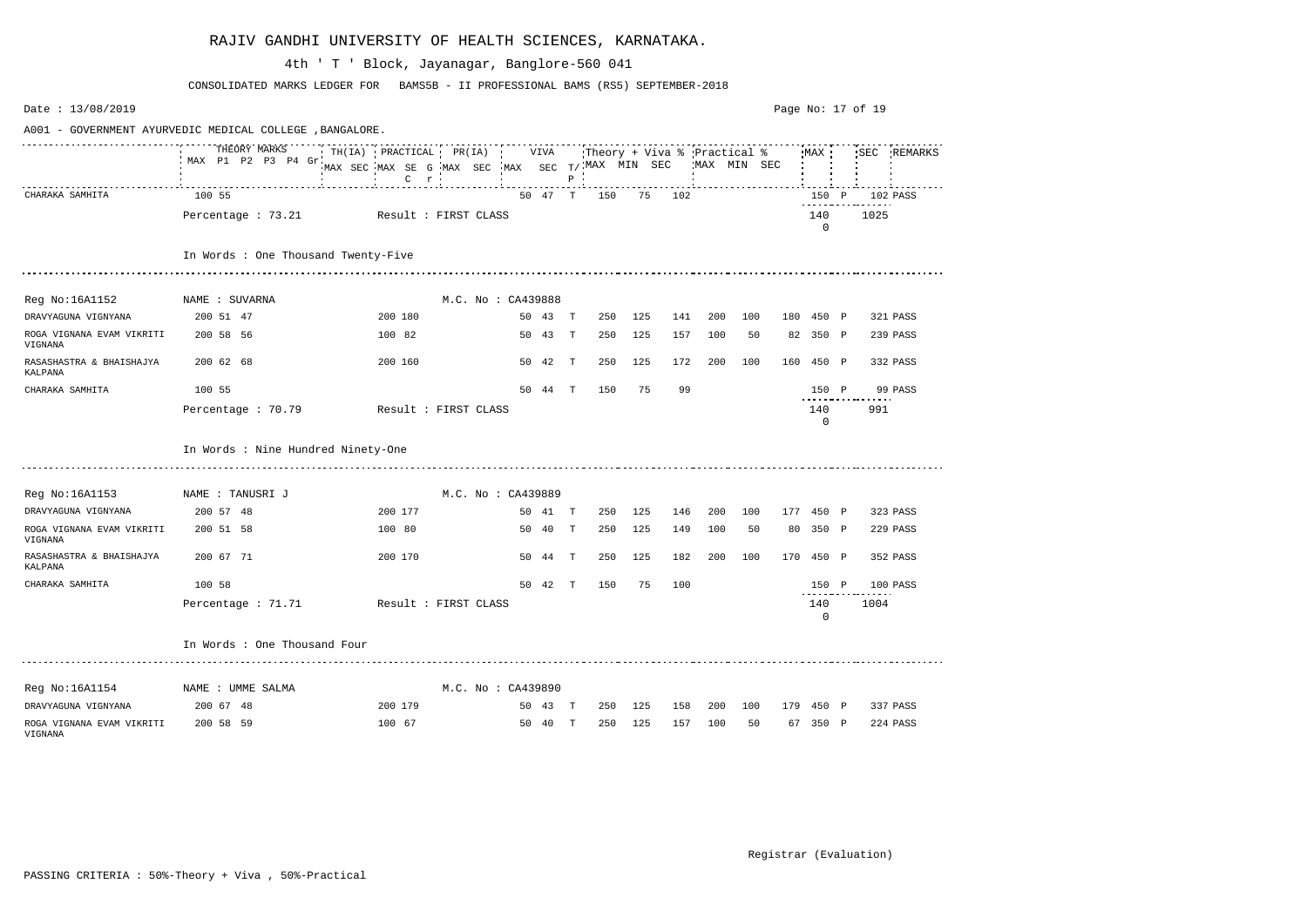| Date: 13/08/2019                     |                                                          |                                                                |                    |         |              |                                                            |     |     |     |             |     |                            | Page No: 17 of 19 |             |
|--------------------------------------|----------------------------------------------------------|----------------------------------------------------------------|--------------------|---------|--------------|------------------------------------------------------------|-----|-----|-----|-------------|-----|----------------------------|-------------------|-------------|
|                                      | A001 - GOVERNMENT AYURVEDIC MEDICAL COLLEGE , BANGALORE. |                                                                |                    |         |              |                                                            |     |     |     |             |     |                            |                   |             |
|                                      | THEORY MARKS<br>MAX P1 P2 P3 P4 Gr                       | TH(IA) PRACTICAL PR(IA)<br>MAX SEC MAX SE G MAX SEC<br>$C$ $r$ |                    | VIVA    | $P$ $\cdot$  | :Theory + Viva % Practical %<br>$MAX$ SEC $T/$ MAX MIN SEC |     |     |     | MAX MIN SEC |     | MAX                        |                   | SEC REMARKS |
| CHARAKA SAMHITA                      | 100 55                                                   |                                                                |                    | 50 47 T |              | 150                                                        | 75  | 102 |     |             |     | 150 P<br>- - - - - - - - · |                   | 102 PASS    |
|                                      | Percentage : 73.21                                       | Result : FIRST CLASS                                           |                    |         |              |                                                            |     |     |     |             |     | 140<br>$\mathbf{0}$        | 1025              |             |
|                                      | In Words : One Thousand Twenty-Five                      |                                                                |                    |         |              |                                                            |     |     |     |             |     |                            |                   |             |
| Reg No:16A1152                       | NAME : SUVARNA                                           |                                                                | M.C. No : CA439888 |         |              |                                                            |     |     |     |             |     |                            |                   |             |
| DRAVYAGUNA VIGNYANA                  | 200 51 47                                                | 200 180                                                        |                    | 50 43   | $\mathbf{T}$ | 250                                                        | 125 | 141 | 200 | 100         |     | 180 450 P                  |                   | 321 PASS    |
| ROGA VIGNANA EVAM VIKRITI<br>VIGNANA | 200 58 56                                                | 100 82                                                         |                    | 50 43   | T            | 250                                                        | 125 | 157 | 100 | 50          |     | 82 350 P                   |                   | 239 PASS    |
| RASASHASTRA & BHAISHAJYA<br>KALPANA  | 200 62 68                                                | 200 160                                                        |                    | 50 42   | T            | 250                                                        | 125 | 172 | 200 | 100         | 160 | 450 P                      |                   | 332 PASS    |
| CHARAKA SAMHITA                      | 100 55                                                   |                                                                |                    | 50 44   | T            | 150                                                        | 75  | 99  |     |             |     | 150 P                      |                   | 99 PASS     |
|                                      | Percentage : 70.79                                       | Result : FIRST CLASS                                           |                    |         |              |                                                            |     |     |     |             |     | 140<br>$\mathbf 0$         | 991               |             |
|                                      | In Words : Nine Hundred Ninety-One                       |                                                                |                    |         |              |                                                            |     |     |     |             |     |                            |                   |             |
| Reg No:16A1153                       | NAME : TANUSRI J                                         |                                                                | M.C. No: CA439889  |         |              |                                                            |     |     |     |             |     |                            |                   |             |
| DRAVYAGUNA VIGNYANA                  | 200 57 48                                                | 200 177                                                        |                    | 50 41 T |              | 250                                                        | 125 | 146 | 200 | 100         |     | 177 450 P                  |                   | 323 PASS    |
| ROGA VIGNANA EVAM VIKRITI<br>VIGNANA | 200 51 58                                                | 100 80                                                         |                    | 50 40   | T            | 250                                                        | 125 | 149 | 100 | 50          |     | 80 350 P                   |                   | 229 PASS    |
| RASASHASTRA & BHAISHAJYA<br>KALPANA  | 200 67 71                                                | 200 170                                                        |                    | 50 44   | $\mathbb T$  | 250                                                        | 125 | 182 | 200 | 100         |     | 170 450 P                  |                   | 352 PASS    |
| CHARAKA SAMHITA                      | 100 58                                                   |                                                                | 50                 | 42      | Т            | 150                                                        | 75  | 100 |     |             |     | 150 P                      |                   | 100 PASS    |
|                                      | Percentage : 71.71                                       | Result : FIRST CLASS                                           |                    |         |              |                                                            |     |     |     |             |     | 140<br>0                   | 1004              |             |
|                                      | In Words : One Thousand Four                             |                                                                |                    |         |              |                                                            |     |     |     |             |     |                            |                   |             |
| Reg No:16A1154 NAME : UMME SALMA     |                                                          |                                                                | M.C. No: CA439890  |         |              |                                                            |     |     |     |             |     |                            |                   |             |
| DRAVYAGUNA VIGNYANA                  | 200 67 48                                                | 200 179                                                        |                    | 50 43 T |              | 250                                                        | 125 | 158 | 200 | 100         |     | 179 450 P                  |                   | 337 PASS    |
| ROGA VIGNANA EVAM VIKRITI<br>VIGNANA | 200 58 59                                                | 100 67                                                         |                    | 50 40 T |              | 250                                                        | 125 | 157 | 100 | 50          |     | 67 350 P                   |                   | 224 PASS    |

CONSOLIDATED MARKS LEDGER FOR BAMS5B - II PROFESSIONAL BAMS (RS5) SEPTEMBER-2018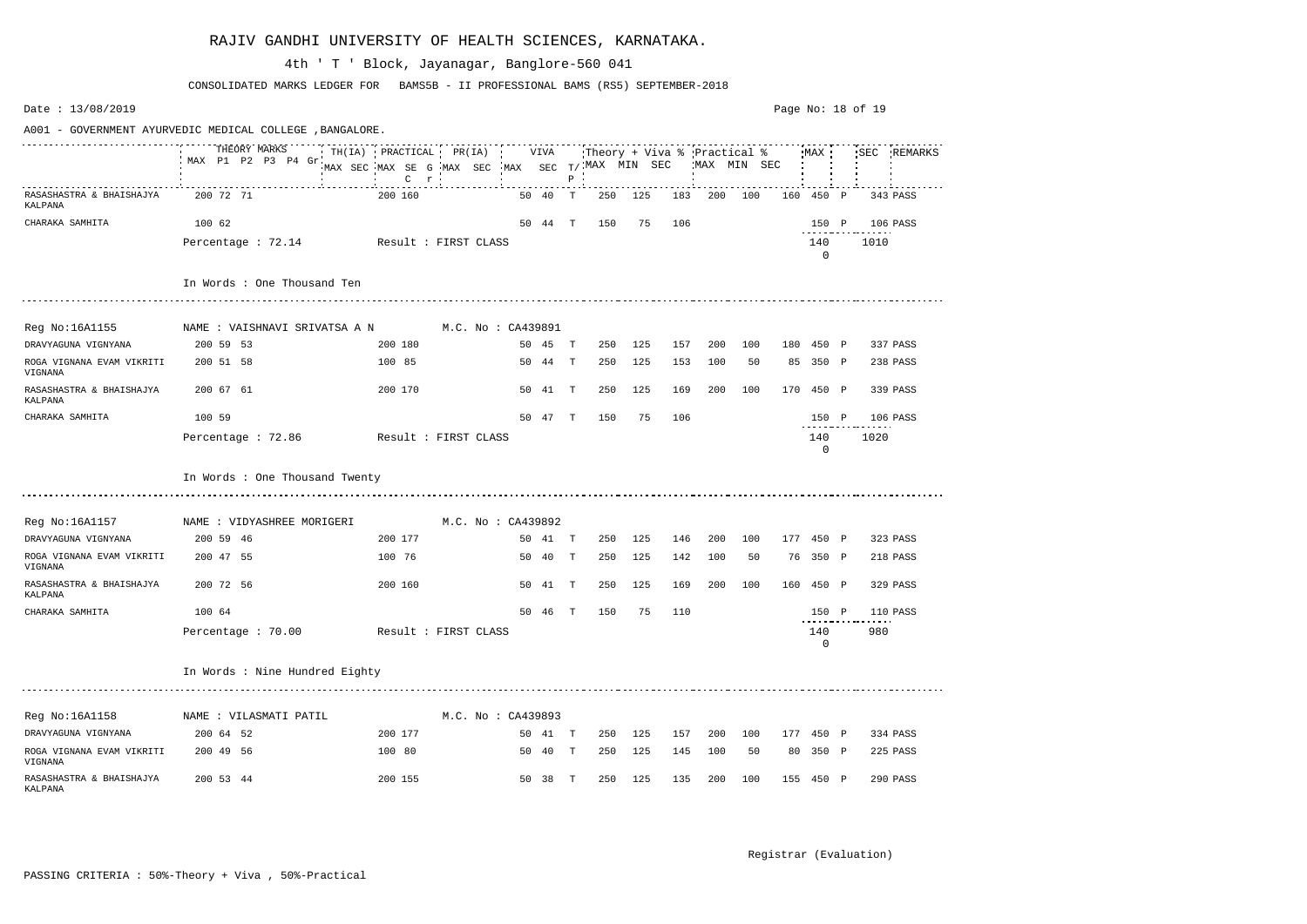| Date: $13/08/2019$                   |                                                         |                                                                        |                    |    |         |              |                                                           |     |     |             |     |     | Page No: $18$ of $19$ |             |
|--------------------------------------|---------------------------------------------------------|------------------------------------------------------------------------|--------------------|----|---------|--------------|-----------------------------------------------------------|-----|-----|-------------|-----|-----|-----------------------|-------------|
|                                      | A001 - GOVERNMENT AYURVEDIC MEDICAL COLLEGE ,BANGALORE. |                                                                        |                    |    |         |              |                                                           |     |     |             |     |     |                       |             |
|                                      | THEORY MARKS<br>MAX P1 P2 P3 P4 Gr                      | $\cdot$ TH(IA) PRACTICAL PR(IA)<br>MAX SEC MAX SE G MAX SEC<br>$C$ $r$ |                    |    | VIVA    | Ρ            | Theory + Viva % 'Practical %'<br>MAX SEC $T/$ MAX MIN SEC |     |     | MAX MIN SEC |     |     | MAX                   | SEC REMARKS |
| RASASHASTRA & BHAISHAJYA<br>KALPANA  | 200 72 71                                               | 200 160                                                                |                    |    | 50 40   | T            | 250                                                       | 125 | 183 | 200         | 100 | 160 | 450 P                 | 343 PASS    |
| CHARAKA SAMHITA                      | 100 62                                                  |                                                                        |                    |    | 50 44 T |              | 150                                                       | 75  | 106 |             |     |     | 150 P                 | 106 PASS    |
|                                      | Percentage: 72.14                                       | Result : FIRST CLASS                                                   |                    |    |         |              |                                                           |     |     |             |     |     | 140<br>$\mathbf{0}$   | 1010        |
|                                      | In Words : One Thousand Ten                             |                                                                        |                    |    |         |              |                                                           |     |     |             |     |     |                       |             |
| Reg No:16A1155                       | NAME : VAISHNAVI SRIVATSA A N                           |                                                                        | M.C. No : CA439891 |    |         |              |                                                           |     |     |             |     |     |                       |             |
| DRAVYAGUNA VIGNYANA                  | 200 59 53                                               | 200 180                                                                |                    |    | 50 45   | T            | 250                                                       | 125 | 157 | 200         | 100 |     | 180 450 P             | 337 PASS    |
| ROGA VIGNANA EVAM VIKRITI<br>VIGNANA | 200 51 58                                               | 100 85                                                                 |                    |    | 50 44   | $\mathbf{T}$ | 250                                                       | 125 | 153 | 100         | 50  |     | 85 350 P              | 238 PASS    |
| RASASHASTRA & BHAISHAJYA<br>KALPANA  | 200 67 61                                               | 200 170                                                                |                    |    | 50 41   | T            | 250                                                       | 125 | 169 | 200         | 100 |     | 170 450 P             | 339 PASS    |
| CHARAKA SAMHITA                      | 100 59                                                  |                                                                        |                    |    | 50 47 T |              | 150                                                       | 75  | 106 |             |     |     | 150 P                 | 106 PASS    |
|                                      | Percentage : 72.86                                      | Result : FIRST CLASS                                                   |                    |    |         |              |                                                           |     |     |             |     |     | 140<br>0              | 1020        |
|                                      | In Words : One Thousand Twenty                          |                                                                        |                    |    |         |              |                                                           |     |     |             |     |     |                       |             |
| Reg No:16A1157                       | NAME : VIDYASHREE MORIGERI                              |                                                                        | M.C. No : CA439892 |    |         |              |                                                           |     |     |             |     |     |                       |             |
| DRAVYAGUNA VIGNYANA                  | 200 59 46                                               | 200 177                                                                |                    |    | 50 41   | T            | 250                                                       | 125 | 146 | 200         | 100 |     | 177 450 P             | 323 PASS    |
| ROGA VIGNANA EVAM VIKRITI<br>VIGNANA | 200 47 55                                               | 100 76                                                                 |                    | 50 | 40      | $\mathbb{T}$ | 250                                                       | 125 | 142 | 100         | 50  | 76  | 350 P                 | 218 PASS    |
| RASASHASTRA & BHAISHAJYA<br>KALPANA  | 200 72 56                                               | 200 160                                                                |                    |    | 50 41   | Т            | 250                                                       | 125 | 169 | 200         | 100 |     | 160 450 P             | 329 PASS    |
| CHARAKA SAMHITA                      | 100 64                                                  |                                                                        |                    | 50 | 46      | T            | 150                                                       | 75  | 110 |             |     |     | 150 P                 | 110 PASS    |
|                                      | Percentage: 70.00                                       | Result : FIRST CLASS                                                   |                    |    |         |              |                                                           |     |     |             |     |     | 140<br>0              | 980         |
|                                      | In Words : Nine Hundred Eighty                          |                                                                        |                    |    |         |              |                                                           |     |     |             |     |     |                       |             |
| Reg No:16A1158                       | NAME : VILASMATI PATIL                                  |                                                                        | M.C. No: CA439893  |    |         |              |                                                           |     |     |             |     |     |                       |             |
| DRAVYAGUNA VIGNYANA                  | 200 64 52                                               | 200 177                                                                |                    |    | 50 41 T |              | 250                                                       | 125 | 157 | 200         | 100 |     | 177 450 P             | 334 PASS    |
| ROGA VIGNANA EVAM VIKRITI<br>VIGNANA | 200 49 56                                               | 100 80                                                                 |                    |    | 50 40 T |              | 250                                                       | 125 | 145 | 100         | 50  |     | 80 350 P              | 225 PASS    |
| RASASHASTRA & BHAISHAJYA<br>KALPANA  | 200 53 44                                               | 200 155                                                                |                    |    | 50 38   | $\mathbb{T}$ | 250                                                       | 125 | 135 | 200         | 100 |     | 155 450 P             | 290 PASS    |

CONSOLIDATED MARKS LEDGER FOR BAMS5B - II PROFESSIONAL BAMS (RS5) SEPTEMBER-2018